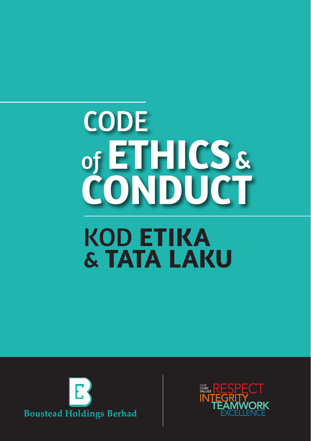# KOD **ETIKA** & **TATA LAKU CODE**  of **ETHICS** & **CONDUCT**



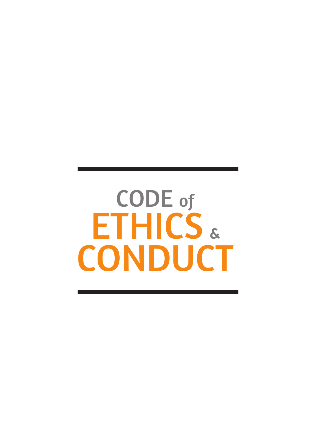# CODE of ETHICS & **CONDUCT**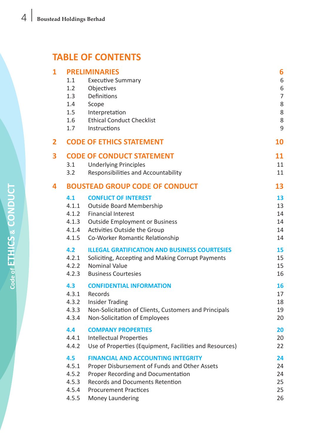# **TABLE OF CONTENTS**

| 1 | <b>PRELIMINARIES</b><br><b>Executive Summary</b><br>1.1 |                                                         | 6<br>6 |
|---|---------------------------------------------------------|---------------------------------------------------------|--------|
|   | 1.2                                                     | Objectives                                              | 6      |
|   | 1.3                                                     | Definitions                                             | 7      |
|   | 1.4                                                     | Scope                                                   | 8      |
|   | $1.5\,$                                                 | Interpretation                                          | 8      |
|   | 1.6                                                     | <b>Ethical Conduct Checklist</b>                        | 8      |
|   | 1.7                                                     | Instructions                                            | 9      |
| 2 |                                                         | <b>CODE OF ETHICS STATEMENT</b>                         | 10     |
| 3 |                                                         | <b>CODE OF CONDUCT STATEMENT</b>                        | 11     |
|   | 3.1                                                     | <b>Underlying Principles</b>                            | 11     |
|   | 3.2                                                     | Responsibilities and Accountability                     | 11     |
| 4 | <b>BOUSTEAD GROUP CODE OF CONDUCT</b>                   |                                                         |        |
|   | 4.1                                                     | <b>CONFLICT OF INTEREST</b>                             | 13     |
|   | 4.1.1                                                   | <b>Outside Board Membership</b>                         | 13     |
|   |                                                         | 4.1.2 Financial Interest                                | 14     |
|   |                                                         | 4.1.3 Outside Employment or Business                    | 14     |
|   | 4.1.4                                                   | Activities Outside the Group                            | 14     |
|   | 4.1.5                                                   | Co-Worker Romantic Relationship                         | 14     |
|   | 4.2                                                     | <b>ILLEGAL GRATIFICATION AND BUSINESS COURTESIES</b>    | 15     |
|   | 4.2.1                                                   | Soliciting, Accepting and Making Corrupt Payments       | 15     |
|   | 4.2.2                                                   | Nominal Value                                           | 15     |
|   | 4.2.3                                                   | <b>Business Courtesies</b>                              | 16     |
|   | 4.3                                                     | <b>CONFIDENTIAL INFORMATION</b>                         | 16     |
|   | 4.3.1                                                   | Records                                                 | 17     |
|   | 4.3.2                                                   | <b>Insider Trading</b>                                  | 18     |
|   | 4.3.3                                                   | Non-Solicitation of Clients, Customers and Principals   | 19     |
|   | 4.3.4                                                   | Non-Solicitation of Employees                           | 20     |
|   | 4.4                                                     | <b>COMPANY PROPERTIES</b>                               | 20     |
|   | 4.4.1                                                   | <b>Intellectual Properties</b>                          | 20     |
|   | 4.4.2                                                   | Use of Properties (Equipment, Facilities and Resources) | 22     |
|   | 4.5                                                     | <b>FINANCIAL AND ACCOUNTING INTEGRITY</b>               | 24     |
|   | 4.5.1                                                   | Proper Disbursement of Funds and Other Assets           | 24     |
|   | 4.5.2                                                   | Proper Recording and Documentation                      | 24     |
|   | 4.5.3                                                   | <b>Records and Documents Retention</b>                  | 25     |
|   | 4.5.4                                                   | <b>Procurement Practices</b>                            | 25     |
|   | 4.5.5                                                   | Money Laundering                                        | 26     |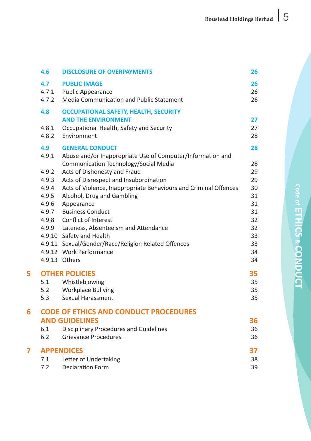|   | 4.6                                          | <b>DISCLOSURE OF OVERPAYMENTS</b>                                          | 26       |  |  |
|---|----------------------------------------------|----------------------------------------------------------------------------|----------|--|--|
|   | 4.7                                          | <b>PUBLIC IMAGE</b>                                                        | 26       |  |  |
|   | 4.7.1                                        | <b>Public Appearance</b>                                                   | 26       |  |  |
|   | 4.7.2                                        | Media Communication and Public Statement                                   | 26       |  |  |
|   | 4.8                                          | <b>OCCUPATIONAL SAFETY, HEALTH, SECURITY</b><br><b>AND THE ENVIRONMENT</b> | 27       |  |  |
|   | 4.8.1                                        | Occupational Health, Safety and Security                                   | 27       |  |  |
|   | 4.8.2                                        | Environment                                                                | 28       |  |  |
|   | 4.9                                          | <b>GENERAL CONDUCT</b>                                                     | 28       |  |  |
|   | 4.9.1                                        | Abuse and/or Inappropriate Use of Computer/Information and                 |          |  |  |
|   |                                              | Communication Technology/Social Media                                      | 28       |  |  |
|   | 4.9.2                                        | Acts of Dishonesty and Fraud                                               | 29       |  |  |
|   | 4.9.3                                        | Acts of Disrespect and Insubordination                                     | 29       |  |  |
|   | 4.9.4                                        | Acts of Violence, Inappropriate Behaviours and Criminal Offences           | 30       |  |  |
|   | 4.9.5                                        | Alcohol, Drug and Gambling                                                 | 31       |  |  |
|   | 4.9.6                                        | Appearance                                                                 | 31       |  |  |
|   | 4.9.7                                        | <b>Business Conduct</b>                                                    | 31       |  |  |
|   | 4.9.8                                        | Conflict of Interest                                                       | 32       |  |  |
|   |                                              | 4.9.9 Lateness, Absenteeism and Attendance                                 | 32       |  |  |
|   |                                              | 4.9.10 Safety and Health                                                   | 33       |  |  |
|   |                                              | 4.9.11 Sexual/Gender/Race/Religion Related Offences                        | 33       |  |  |
|   |                                              | 4.9.12 Work Performance                                                    | 34       |  |  |
|   |                                              | 4.9.13 Others                                                              | 34       |  |  |
| 5 | <b>OTHER POLICIES</b>                        |                                                                            |          |  |  |
|   | 5.1                                          | Whistleblowing                                                             | 35       |  |  |
|   |                                              | 5.2 Workplace Bullying                                                     | 35       |  |  |
|   | 5.3                                          | Sexual Harassment                                                          | 35       |  |  |
| 6 | <b>CODE OF ETHICS AND CONDUCT PROCEDURES</b> |                                                                            |          |  |  |
|   |                                              | <b>AND GUIDELINES</b>                                                      | 36       |  |  |
|   | 6.1                                          | Disciplinary Procedures and Guidelines                                     | 36       |  |  |
|   | 6.2                                          | <b>Grievance Procedures</b>                                                | 36       |  |  |
| 7 | <b>APPENDICES</b>                            |                                                                            |          |  |  |
|   | 7.1                                          | Letter of Undertaking                                                      | 37<br>38 |  |  |
|   | 7.2                                          | <b>Declaration Form</b>                                                    | 39       |  |  |
|   |                                              |                                                                            |          |  |  |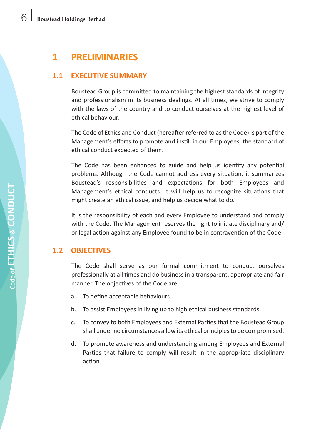# **1 PRELIMINARIES**

# **1.1 EXECUTIVE SUMMARY**

 Boustead Group is committed to maintaining the highest standards of integrity and professionalism in its business dealings. At all times, we strive to comply with the laws of the country and to conduct ourselves at the highest level of ethical behaviour.

 The Code of Ethics and Conduct (hereafter referred to asthe Code) is part of the Management's efforts to promote and instill in our Employees, the standard of ethical conduct expected of them.

 The Code has been enhanced to guide and help us identify any potential problems. Although the Code cannot address every situation, it summarizes Boustead's responsibilities and expectations for both Employees and Management's ethical conducts. It will help us to recognize situations that might create an ethical issue, and help us decide what to do.

 It is the responsibility of each and every Employee to understand and comply with the Code. The Management reserves the right to initiate disciplinary and/ or legal action against any Employee found to be in contravention of the Code.

# **1.2 OBJECTIVES**

 The Code shall serve as our formal commitment to conduct ourselves professionally at all times and do business in a transparent, appropriate and fair manner. The objectives of the Code are:

- a. To define acceptable behaviours.
- b. To assist Employees in living up to high ethical business standards.
- c. To convey to both Employees and External Parties that the Boustead Group shall under no circumstances allow its ethical principles to be compromised.
- d. To promote awareness and understanding among Employees and External Parties that failure to comply will result in the appropriate disciplinary action.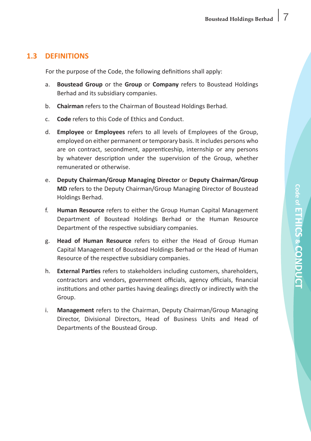# **1.3 DEFINITIONS**

 For the purpose of the Code, the following definitions shall apply:

- a. **Boustead Group** or the **Group** or **Company** refers to Boustead Holdings Berhad and its subsidiary companies.
- b. **Chairman** refers to the Chairman of Boustead Holdings Berhad.
- c. **Code** refers to this Code of Ethics and Conduct.
- d. **Employee** or **Employees** refers to all levels of Employees of the Group, employed on either permanent or temporary basis. It includes persons who are on contract, secondment, apprenticeship, internship or any persons by whatever description under the supervision of the Group, whether remunerated or otherwise.
- e. **Deputy Chairman/Group Managing Director** or **Deputy Chairman/Group MD** refers to the Deputy Chairman/Group Managing Director of Boustead Holdings Berhad.
- f. **Human Resource** refers to either the Group Human Capital Management Department of Boustead Holdings Berhad or the Human Resource Department of the respective subsidiary companies.
- g. **Head of Human Resource** refers to either the Head of Group Human Capital Management of Boustead Holdings Berhad or the Head of Human Resource of the respective subsidiary companies.
- h. **External Parties** refers to stakeholders including customers, shareholders, contractors and vendors, government officials, agency officials, financial institutions and other parties having dealings directly or indirectly with the Group.
- i. Management refers to the Chairman, Deputy Chairman/Group Managing Director, Divisional Directors, Head of Business Units and Head of Departments of the Boustead Group.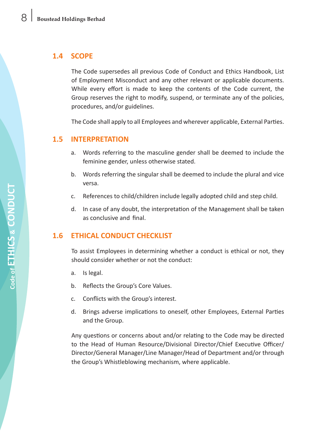# **1.4 SCOPE**

 The Code supersedes all previous Code of Conduct and Ethics Handbook, List of Employment Misconduct and any other relevant or applicable documents. While every effort is made to keep the contents of the Code current, the Group reserves the right to modify, suspend, or terminate any of the policies, procedures, and/or guidelines.

 The Code shall apply to all Employees and wherever applicable, External Parties.

#### **1.5 INTERPRETATION**

- a. Words referring to the masculine gender shall be deemed to include the feminine gender, unless otherwise stated.
- b. Words referring the singular shall be deemed to include the plural and vice versa.
- c. References to child/children include legally adopted child and step child.
- d. In case of any doubt, the interpretation of the Management shall be taken as conclusive and final.

# **1.6 ETHICAL CONDUCT CHECKLIST**

 To assist Employees in determining whether a conduct is ethical or not, they should consider whether or not the conduct:

- a. Is legal.
- b. Reflects the Group's Core Values.
- c. Conflicts with the Group's interest.
- d. Brings adverse implications to oneself, other Employees, External Parties and the Group.

 Any questions or concerns about and/or relating to the Code may be directed to the Head of Human Resource/Divisional Director/Chief Executive Officer/ Director/General Manager/Line Manager/Head of Department and/or through the Group's Whistleblowing mechanism, where applicable.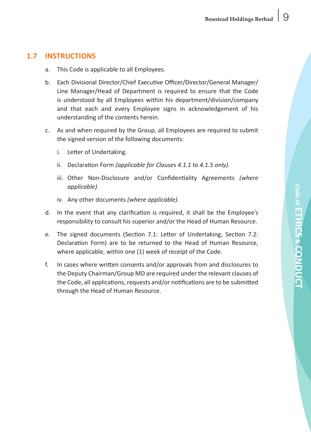# **1.7 INSTRUCTIONS**

- a. This Code is applicable to all Employees.
- b. Each Divisional Director/Chief Executive Officer/Director/General Manager/ Line Manager/Head of Department is required to ensure that the Code is understood by all Employees within his department/division/company and that each and every Employee signs in acknowledgement of his understanding of the contents herein.
- c. As and when required by the Group, all Employees are required to submit the signed version of the following documents:
	- i. Letter of Undertaking.
	- ii. Declaration Form *(applicable for Clauses 4.1.1 to 4.1.5 only)*.
	- iii. Other Non-Disclosure and/or Confidentiality Agreements *(where applicable).*
	- iv. Any other documents *(where applicable)*.
- d. In the event that any clarification is required, it shall be the Employee's responsibility to consult his superior and/or the Head of Human Resource.
- e. The signed documents (Section 7.1: Letter of Undertaking, Section 7.2: Declaration Form) are to be returned to the Head of Human Resource, where applicable, within one (1) week of receipt of the Code.
- f. In cases where written consents and/or approvals from and disclosures to the Deputy Chairman/Group MD are required under the relevant clauses of the Code, all applications, requests and/or notifications are to be submitted through the Head of Human Resource.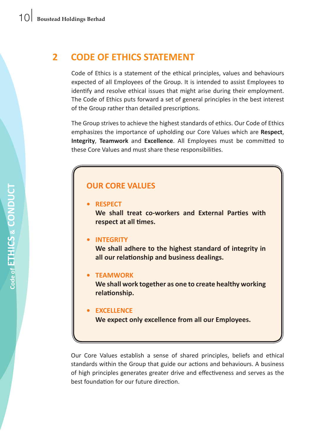# **2 CODE OF ETHICS STATEMENT**

Code of Ethics is a statement of the ethical principles, values and behaviours expected of all Employees of the Group. It is intended to assist Employees to identify and resolve ethical issues that might arise during their employment. The Code of Ethics puts forward a set of general principles in the best interest of the Group rather than detailed prescriptions.

 The Group strives to achieve the highest standards of ethics. Our Code of Ethics emphasizes the importance of upholding our Core Values which are **Respect**, **Integrity**, **Teamwork** and **Excellence**. All Employees must be committed to these Core Values and must share these responsibilities.

# **OUR CORE VALUES**

#### **• RESPECT**

**We shall treat co-workers and External Parties with respect at all times.**

#### **• INTEGRITY**

 **We shall adhere to the highest standard of integrity in all our relationship and business dealings.**

#### **• TEAMWORK**

 **We shall work together as one to create healthy working relationship.**

#### **• EXCELLENCE**

 **We expect only excellence from all our Employees.**

 Our Core Values establish a sense of shared principles, beliefs and ethical standards within the Group that guide our actions and behaviours. A business of high principles generates greater drive and effectiveness and serves as the best foundation for our future direction.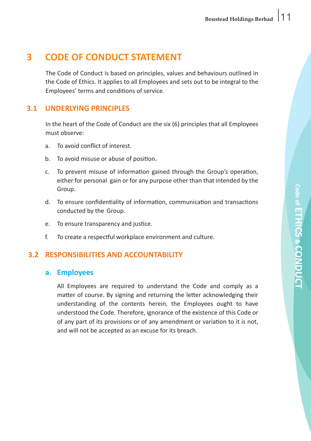# **3 CODE OF CONDUCT STATEMENT**

The Code of Conduct is based on principles, values and behaviours outlined in the Code of Ethics. It applies to all Employees and sets out to be integral to the Employees' terms and conditions of service.

# **3.1 UNDERLYING PRINCIPLES**

In the heart of the Code of Conduct are the six (6) principles that all Employees must observe:

- a To avoid conflict of interest.
- b. To avoid misuse or abuse of position.
- c. To prevent misuse of information gained through the Group's operation, either for personal gain or for any purpose other than that intended by the Group.
- d. To ensure confidentiality of information, communication and transactions conducted by the Group.
- e. To ensure transparency and justice.
- f. To create a respectful workplace environment and culture.

# **3.2 RESPONSIBILITIES AND ACCOUNTABILITY**

#### **a. Employees**

 All Employees are required to understand the Code and comply as a matter of course. By signing and returning the letter acknowledging their understanding of the contents herein, the Employees ought to have understood the Code. Therefore, ignorance of the existence of this Code or of any part of its provisions or of any amendment or variation to it is not, and will not be accepted as an excuse for its breach.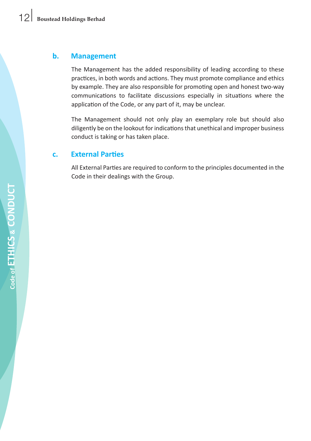#### **b. Management**

 The Management has the added responsibility of leading according to these practices, in both words and actions. They must promote compliance and ethics by example. They are also responsible for promoting open and honest two-way communications to facilitate discussions especially in situations where the application of the Code, or any part of it, may be unclear.

 The Management should not only play an exemplary role but should also diligently be on the lookout forindicationsthat unethical and improper business conduct is taking or has taken place.

# **c. External Parties**

 All External Parties are required to conform to the principles documented in the Code in their dealings with the Group.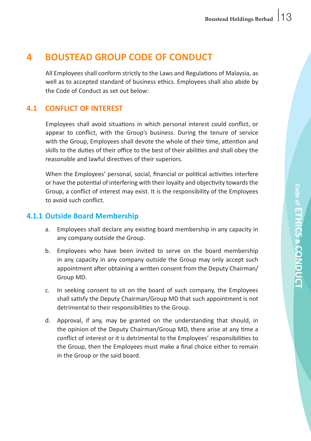# **4 BOUSTEAD GROUP CODE OF CONDUCT**

 All Employees shall conform strictly to the Laws and Regulations of Malaysia, as well as to accepted standard of business ethics. Employees shall also abide by the Code of Conduct as set out below:

# **4.1 CONFLICT OF INTEREST**

 Employees shall avoid situations in which personal interest could conflict, or appear to conflict, with the Group's business. During the tenure of service with the Group, Employees shall devote the whole of their time, attention and skills to the duties of their office to the best of their abilities and shall obey the reasonable and lawful directives of their superiors.

 When the Employees' personal, social, financial or political activities interfere or have the potential of interfering with their loyalty and objectivity towardsthe Group, a conflict of interest may exist. It is the responsibility of the Employees to avoid such conflict.

# **4.1.1 Outside Board Membership**

- a. Employees shall declare any existing board membership in any capacity in any company outside the Group.
- b. Employees who have been invited to serve on the board membership in any capacity in any company outside the Group may only accept such appointment after obtaining a written consent from the Deputy Chairman/ Group MD.
- c. In seeking consent to sit on the board of such company, the Employees shall satisfy the Deputy Chairman/Group MD that such appointment is not detrimental to their responsibilities to the Group.
- d. Approval, if any, may be granted on the understanding that should, in the opinion of the Deputy Chairman/Group MD, there arise at any time a conflict of interest or it is detrimental to the Employees' responsibilities to the Group, then the Employees must make a final choice either to remain in the Group or the said board.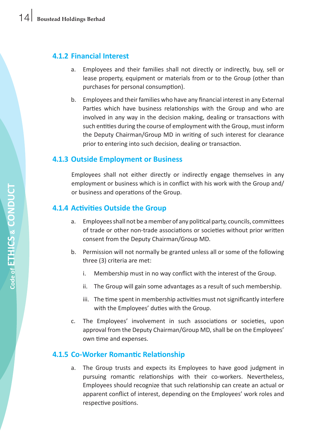# **4.1.2 Financial Interest**

- a. Employees and their families shall not directly or indirectly, buy, sell or lease property, equipment or materials from or to the Group (other than purchases for personal consumption).
- b. Employees and their families who have any financial interest in any External Parties which have business relationships with the Group and who are involved in any way in the decision making, dealing or transactions with such entities during the course of employment with the Group, must inform the Deputy Chairman/Group MD in writing of such interest for clearance prior to entering into such decision, dealing or transaction.

# **4.1.3 Outside Employment or Business**

 Employees shall not either directly or indirectly engage themselves in any employment or business which is in conflict with his work with the Group and/ or business and operations of the Group.

# **4.1.4 Activities Outside the Group**

- a. Employees shall not be a member of any political party, councils, committees of trade or other non-trade associations or societies without prior written consent from the Deputy Chairman/Group MD.
- b. Permission will not normally be granted unless all or some of the following three (3) criteria are met:
	- i. Membership must in no way conflict with the interest of the Group.
	- ii. The Group will gain some advantages as a result of such membership.
	- iii. The time spent in membership activities must not significantly interfere with the Employees' duties with the Group.
- c. The Employees' involvement in such associations or societies, upon approval from the Deputy Chairman/Group MD, shall be on the Employees' own time and expenses.

# **4.1.5 Co-Worker Romantic Relationship**

a. The Group trusts and expects its Employees to have good judgment in pursuing romantic relationships with their co-workers. Nevertheless, Employees should recognize that such relationship can create an actual or apparent conflict of interest, depending on the Employees' work roles and respective positions.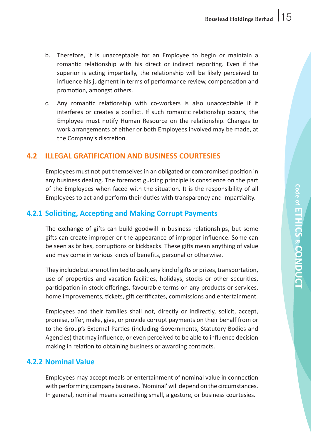- b. Therefore, it is unacceptable for an Employee to begin or maintain a romantic relationship with his direct or indirect reporting. Even if the superior is acting impartially, the relationship will be likely perceived to influence his judgment in terms of performance review, compensation and promotion, amongst others.
- c. Any romantic relationship with co-workers is also unacceptable if it interferes or creates a conflict. If such romantic relationship occurs, the Employee must notify Human Resource on the relationship. Changes to work arrangements of either or both Employees involved may be made, at the Company's discretion.

#### **4.2 ILLEGAL GRATIFICATION AND BUSINESS COURTESIES**

 Employees must not put themselvesin an obligated or compromised position in any business dealing. The foremost guiding principle is conscience on the part of the Employees when faced with the situation. It is the responsibility of all Employees to act and perform their duties with transparency and impartiality.

# **4.2.1 Soliciting, Accepting and Making Corrupt Payments**

 The exchange of gifts can build goodwill in business relationships, but some gifts can create improper or the appearance of improper influence. Some can be seen as bribes, corruptions or kickbacks. These gifts mean anything of value and may come in various kinds of benefits, personal or otherwise.

They include but are not limited to cash, any kind of gifts or prizes, transportation, use of properties and vacation facilities, holidays, stocks or other securities, participation in stock offerings, favourable terms on any products or services, home improvements, tickets, gift certificates, commissions and entertainment.

 Employees and their families shall not, directly or indirectly, solicit, accept, promise, offer, make, give, or provide corrupt payments on their behalf from or to the Group's External Parties (including Governments, Statutory Bodies and Agencies) that may influence, or even perceived to be able to influence decision making in relation to obtaining business or awarding contracts.

# **4.2.2 Nominal Value**

 Employees may accept meals or entertainment of nominal value in connection with performing company business. 'Nominal'will depend on the circumstances. In general, nominal means something small, a gesture, or business courtesies.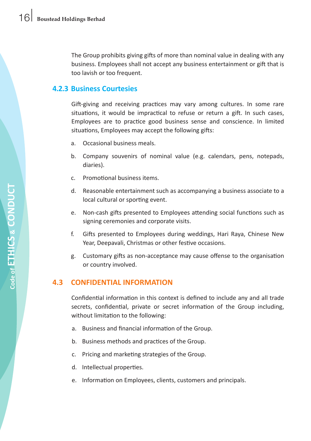The Group prohibits giving gifts of more than nominal value in dealing with any business. Employees shall not accept any business entertainment or gift that is too lavish or too frequent.

# **4.2.3 Business Courtesies**

 Gift-giving and receiving practices may vary among cultures. In some rare situations, it would be impractical to refuse or return a gift. In such cases, Employees are to practice good business sense and conscience. In limited situations, Employees may accept the following gifts:

- a. Occasional business meals.
- b. Company souvenirs of nominal value (e.g. calendars, pens, notepads, diaries).
- c. Promotional business items.
- d. Reasonable entertainment such as accompanying a business associate to a local cultural or sporting event.
- e. Non-cash gifts presented to Employees attending social functions such as signing ceremonies and corporate visits.
- f. Gifts presented to Employees during weddings, Hari Raya, Chinese New Year, Deepavali, Christmas or other festive occasions.
- g. Customary gifts as non-acceptance may cause offense to the organisation or country involved.

# **4.3 CONFIDENTIAL INFORMATION**

 Confidential information in this context is defined to include any and all trade secrets, confidential, private or secret information of the Group including, without limitation to the following:

- a. Business and financial information of the Group.
- b. Business methods and practices of the Group.
- c. Pricing and marketing strategies of the Group.
- d. Intellectual properties.
- e. Information on Employees, clients, customers and principals.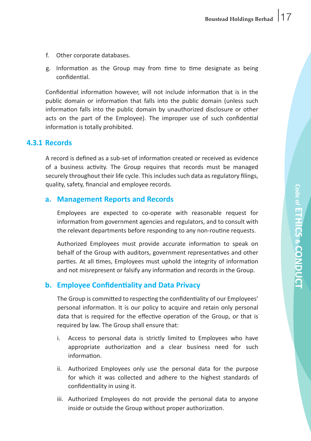- f. Other corporate databases.
- g. Information as the Group may from time to time designate as being confidential.

 Confidential information however, will not include information that is in the public domain or information that falls into the public domain (unless such information falls into the public domain by unauthorized disclosure or other acts on the part of the Employee). The improper use of such confidential information is totally prohibited.

#### **4.3.1 Records**

A record is defined as a sub-set of information created or received as evidence of a business activity. The Group requires that records must be managed securely throughout their life cycle. This includes such data as regulatory filings, quality, safety, financial and employee records.

#### **a. Management Reports and Records**

 Employees are expected to co-operate with reasonable request for information from government agencies and regulators, and to consult with the relevant departments before responding to any non-routine requests.

 Authorized Employees must provide accurate information to speak on behalf of the Group with auditors, government representatives and other parties. At all times, Employees must uphold the integrity of information and not misrepresent or falsify any information and records in the Group.

# **b. Employee Confidentiality and Data Privacy**

 The Group is committed to respecting the confidentiality of our Employees' personal information. It is our policy to acquire and retain only personal data that is required for the effective operation of the Group, or that is required by law. The Group shall ensure that:

- i. Access to personal data is strictly limited to Employees who have appropriate authorization and a clear business need for such information.
- ii. Authorized Employees only use the personal data for the purpose for which it was collected and adhere to the highest standards of confidentiality in using it.
- iii. Authorized Employees do not provide the personal data to anyone inside or outside the Group without proper authorization.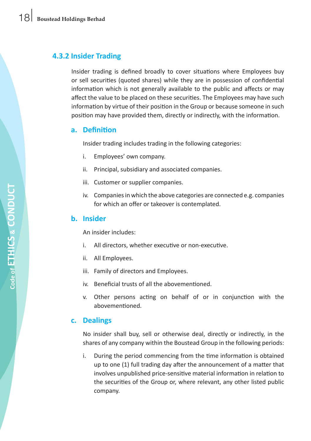# **4.3.2 Insider Trading**

 Insider trading is defined broadly to cover situations where Employees buy or sell securities (quoted shares) while they are in possession of confidential information which is not generally available to the public and affects or may affect the value to be placed on these securities. The Employees may have such information by virtue of their position in the Group or because someone in such position may have provided them, directly or indirectly, with the information.

#### **a. Definition**

 Insider trading includes trading in the following categories:

- i. Employees' own company.
- ii. Principal, subsidiary and associated companies.
- iii. Customer or supplier companies.
- iv. Companies in which the above categories are connected e.g. companies for which an offer or takeover is contemplated.

#### **b. Insider**

 An insider includes:

- i. All directors, whether executive or non-executive.
- ii. All Employees.
- iii. Family of directors and Employees.
- iv. Beneficial trusts of all the abovementioned.
- v. Other persons acting on behalf of or in conjunction with the abovementioned.

#### **c. Dealings**

 No insider shall buy, sell or otherwise deal, directly or indirectly, in the shares of any company within the Boustead Group in the following periods:

i. During the period commencing from the time information is obtained up to one (1) full trading day after the announcement of a matter that involves unpublished price-sensitive material information in relation to the securities of the Group or, where relevant, any other listed public company.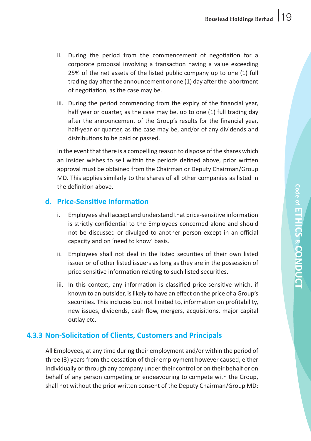- ii. During the period from the commencement of negotiation for a corporate proposal involving a transaction having a value exceeding 25% of the net assets of the listed public company up to one (1) full trading day after the announcement or one (1) day after the abortment of negotiation, as the case may be.
- iii. During the period commencing from the expiry of the financial year, half year or quarter, as the case may be, up to one (1) full trading day after the announcement of the Group's results for the financial year, half-year or quarter, as the case may be, and/or of any dividends and distributions to be paid or passed.

 In the event that there is a compelling reason to dispose of the shares which an insider wishes to sell within the periods defined above, prior written approval must be obtained from the Chairman or Deputy Chairman/Group MD. This applies similarly to the shares of all other companies as listed in the definition above.

#### **d. Price-Sensitive Information**

- i. Employees shall accept and understand that price-sensitive information is strictly confidential to the Employees concerned alone and should not be discussed or divulged to another person except in an official capacity and on 'need to know' basis.
- ii. Employees shall not deal in the listed securities of their own listed issuer or of other listed issuers as long as they are in the possession of price sensitive information relating to such listed securities.
- iii. In this context, any information is classified price-sensitive which, if known to an outsider, is likely to have an effect on the price of a Group's securities. This includes but not limited to, information on profitability, new issues, dividends, cash flow, mergers, acquisitions, major capital outlay etc.

#### **4.3.3 Non-Solicitation of Clients, Customers and Principals**

 All Employees, at any time during their employment and/or within the period of three (3) years from the cessation of their employment however caused, either individually or through any company under their control or on their behalf or on behalf of any person competing or endeavouring to compete with the Group, shall not without the prior written consent of the Deputy Chairman/Group MD: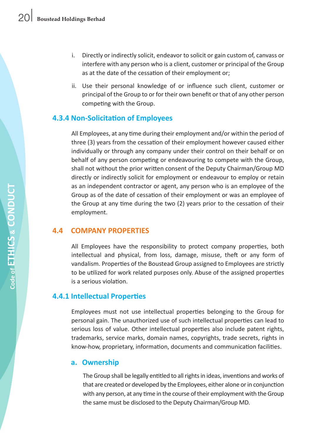- i. Directly or indirectly solicit, endeavor to solicit or gain custom of, canvass or interfere with any person who is a client, customer or principal of the Group as at the date of the cessation of their employment or;
- ii. Use their personal knowledge of or influence such client, customer or principal of the Group to or for their own benefit or that of any other person competing with the Group.

#### **4.3.4 Non-Solicitation of Employees**

 All Employees, at any time during their employment and/or within the period of three (3) years from the cessation of their employment however caused either individually or through any company under their control on their behalf or on behalf of any person competing or endeavouring to compete with the Group, shall not without the prior written consent of the Deputy Chairman/Group MD directly or indirectly solicit for employment or endeavour to employ or retain as an independent contractor or agent, any person who is an employee of the Group as of the date of cessation of their employment or was an employee of the Group at any time during the two (2) years prior to the cessation of their employment.

#### **4.4 COMPANY PROPERTIES**

All Employees have the responsibility to protect company properties, both intellectual and physical, from loss, damage, misuse, theft or any form of vandalism. Properties of the Boustead Group assigned to Employees are strictly to be utilized for work related purposes only. Abuse of the assigned properties is a serious violation.

# **4.4.1 Intellectual Properties**

 Employees must not use intellectual properties belonging to the Group for personal gain. The unauthorized use of such intellectual properties can lead to serious loss of value. Other intellectual properties also include patent rights, trademarks, service marks, domain names, copyrights, trade secrets, rights in know-how, proprietary, information, documents and communication facilities.

#### **a. Ownership**

The Group shall be legally entitled to all rights in ideas, inventions and works of that are created or developed by the Employees, either alone or in conjunction with any person, at any time in the course of their employment with the Group the same must be disclosed to the Deputy Chairman/Group MD.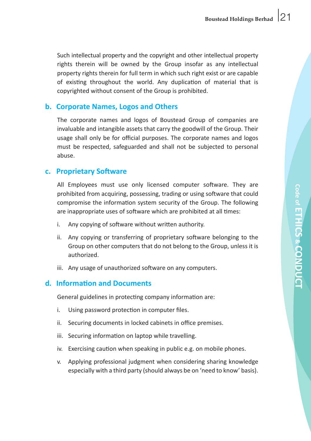Such intellectual property and the copyright and other intellectual property rights therein will be owned by the Group insofar as any intellectual property rights therein for full term in which such right exist or are capable of existing throughout the world. Any duplication of material that is copyrighted without consent of the Group is prohibited.

#### **b. Corporate Names, Logos and Others**

 The corporate names and logos of Boustead Group of companies are invaluable and intangible assets that carry the goodwill of the Group. Their usage shall only be for official purposes. The corporate names and logos must be respected, safeguarded and shall not be subjected to personal abuse.

#### **c. Proprietary Software**

 All Employees must use only licensed computer software. They are prohibited from acquiring, possessing, trading or using software that could compromise the information system security of the Group. The following are inappropriate uses of software which are prohibited at all times:

- i. Any copying of software without written authority.
- ii. Any copying or transferring of proprietary software belonging to the Group on other computers that do not belong to the Group, unless it is authorized.
- iii. Any usage of unauthorized software on any computers.

# **d. Information and Documents**

 General guidelines in protecting company information are:

- i. Using password protection in computer files.
- ii. Securing documents in locked cabinets in office premises.
- iii. Securing information on laptop while travelling.
- iv. Exercising caution when speaking in public e.g. on mobile phones.
- v. Applying professional judgment when considering sharing knowledge especially with a third party (should always be on 'need to know' basis).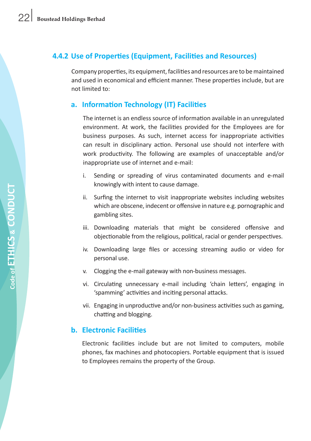# **4.4.2 Use of Properties (Equipment, Facilities and Resources)**

Company properties, its equipment, facilities and resources are to be maintained and used in economical and efficient manner. These properties include, but are not limited to:

# **a. Information Technology (IT) Facilities**

The internet is an endless source of information available in an unregulated environment. At work, the facilities provided for the Employees are for business purposes. As such, internet access for inappropriate activities can result in disciplinary action. Personal use should not interfere with work productivity. The following are examples of unacceptable and/or inappropriate use of internet and e-mail:

- i. Sending or spreading of virus contaminated documents and e-mail knowingly with intent to cause damage.
- ii. Surfing the internet to visit inappropriate websites including websites which are obscene, indecent or offensive in nature e.g. pornographic and gambling sites.
- iii. Downloading materials that might be considered offensive and objectionable from the religious, political, racial or gender perspectives.
- iv. Downloading large files or accessing streaming audio or video for personal use.
- v. Clogging the e-mail gateway with non-business messages.
- vi. Circulating unnecessary e-mail including 'chain letters', engaging in 'spamming' activities and inciting personal attacks.
- vii. Engaging in unproductive and/or non-business activities such as gaming, chatting and blogging.

# **b. Electronic Facilities**

 Electronic facilities include but are not limited to computers, mobile phones, fax machines and photocopiers. Portable equipment that is issued to Employees remains the property of the Group.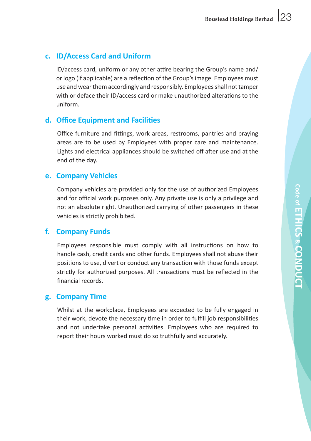# **c. ID/Access Card and Uniform**

 ID/access card, uniform or any other attire bearing the Group's name and/ or logo (if applicable) are a reflection of the Group'simage. Employees must use and wearthem accordingly and responsibly. Employeesshall nottamper with or deface their ID/access card or make unauthorized alterations to the uniform.

# **d. Office Equipment and Facilities**

 Office furniture and fittings, work areas, restrooms, pantries and praying areas are to be used by Employees with proper care and maintenance. Lights and electrical appliances should be switched off after use and at the end of the day.

# **e. Company Vehicles**

 Company vehicles are provided only for the use of authorized Employees and for official work purposes only. Any private use is only a privilege and not an absolute right. Unauthorized carrying of other passengers in these vehicles is strictly prohibited.

# **f. Company Funds**

 Employees responsible must comply with all instructions on how to handle cash, credit cards and other funds. Employees shall not abuse their positions to use, divert or conduct any transaction with those funds except strictly for authorized purposes. All transactions must be reflected in the financial records.

# **g. Company Time**

 Whilst at the workplace, Employees are expected to be fully engaged in their work, devote the necessary time in order to fulfill job responsibilities and not undertake personal activities. Employees who are required to report their hours worked must do so truthfully and accurately.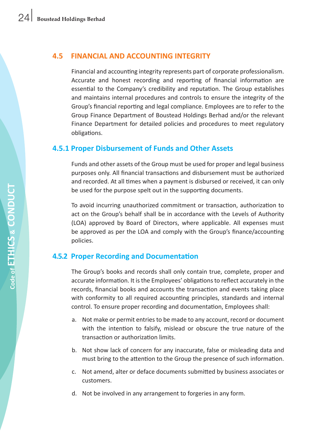### **4.5 FINANCIAL AND ACCOUNTING INTEGRITY**

 Financial and accounting integrity represents part of corporate professionalism. Accurate and honest recording and reporting of financial information are essential to the Company's credibility and reputation. The Group establishes and maintains internal procedures and controls to ensure the integrity of the Group's financial reporting and legal compliance. Employees are to refer to the Group Finance Department of Boustead Holdings Berhad and/or the relevant Finance Department for detailed policies and procedures to meet regulatory obligations.

# **4.5.1 Proper Disbursement of Funds and Other Assets**

Funds and other assets of the Group must be used for proper and legal business purposes only. All financial transactions and disbursement must be authorized and recorded. At all times when a payment is disbursed or received, it can only be used for the purpose spelt out in the supporting documents.

 To avoid incurring unauthorized commitment or transaction, authorization to act on the Group's behalf shall be in accordance with the Levels of Authority (LOA) approved by Board of Directors, where applicable. All expenses must be approved as per the LOA and comply with the Group's finance/accounting policies.

# **4.5.2 Proper Recording and Documentation**

The Group's books and records shall only contain true, complete, proper and accurate information. It is the Employees' obligations to reflect accurately in the records, financial books and accounts the transaction and events taking place with conformity to all required accounting principles, standards and internal control. To ensure proper recording and documentation, Employees shall:

- a. Not make or permit entries to be made to any account, record or document with the intention to falsify, mislead or obscure the true nature of the transaction or authorization limits.
- b. Not show lack of concern for any inaccurate, false or misleading data and must bring to the attention to the Group the presence of such information.
- c. Not amend, alter or deface documents submitted by business associates or customers.
- d. Not be involved in any arrangement to forgeries in any form.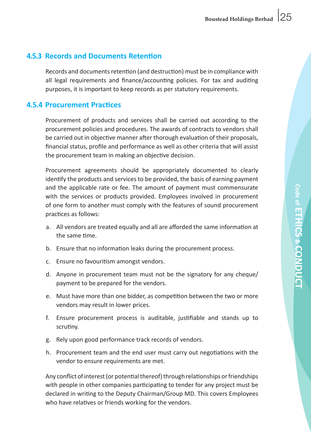# **4.5.3 Records and Documents Retention**

Records and documents retention (and destruction) must be in compliance with all legal requirements and finance/accounting policies. For tax and auditing purposes, it is important to keep records as per statutory requirements.

# **4.5.4 Procurement Practices**

 Procurement of products and services shall be carried out according to the procurement policies and procedures. The awards of contracts to vendors shall be carried out in objective manner after thorough evaluation of their proposals, financial status, profile and performance as well as other criteria that will assist the procurement team in making an objective decision.

 Procurement agreements should be appropriately documented to clearly identify the products and services to be provided, the basis of earning payment and the applicable rate or fee. The amount of payment must commensurate with the services or products provided. Employees involved in procurement of one form to another must comply with the features of sound procurement practices as follows:

- a. All vendors are treated equally and all are afforded the same information at the same time.
- b. Finsure that no information leaks during the procurement process.
- c. Ensure no favouritism amongst vendors.
- d. Anyone in procurement team must not be the signatory for any cheque/ payment to be prepared for the vendors.
- e. Must have more than one bidder, as competition between the two or more vendors may result in lower prices.
- f. Ensure procurement process is auditable, justifiable and stands up to scrutiny.
- g. Rely upon good performance track records of vendors.
- h. Procurement team and the end user must carry out negotiations with the vendor to ensure requirements are met.

Any conflict of interest (or potential thereof) through relationships or friendships with people in other companies participating to tender for any project must be declared in writing to the Deputy Chairman/Group MD. This covers Employees who have relatives or friends working for the vendors.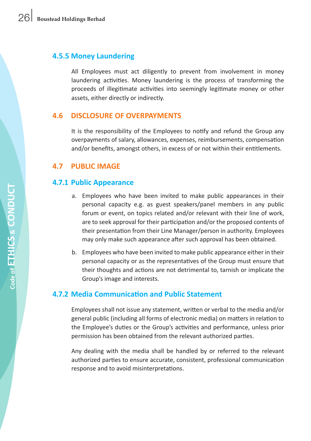# **4.5.5 Money Laundering**

 All Employees must act diligently to prevent from involvement in money laundering activities. Money laundering is the process of transforming the proceeds of illegitimate activities into seemingly legitimate money or other assets, either directly or indirectly.

# **4.6 DISCLOSURE OF OVERPAYMENTS**

 It is the responsibility of the Employees to notify and refund the Group any overpayments of salary, allowances, expenses, reimbursements, compensation and/or benefits, amongst others, in excess of or not within their entitlements.

# **4.7 PUBLIC IMAGE**

# **4.7.1 Public Appearance**

- a. Employees who have been invited to make public appearances in their personal capacity e.g. as guest speakers/panel members in any public forum or event, on topics related and/or relevant with their line of work, are to seek approval for their participation and/or the proposed contents of their presentation from their Line Manager/person in authority. Employees may only make such appearance after such approval has been obtained.
- b. Employees who have been invited to make public appearance either in their personal capacity or as the representatives of the Group must ensure that their thoughts and actions are not detrimental to, tarnish or implicate the Group's image and interests.

# **4.7.2 Media Communication and Public Statement**

 Employees shall not issue any statement, written or verbal to the media and/or general public (including all forms of electronic media) on matters in relation to the Employee's duties or the Group's activities and performance, unless prior permission has been obtained from the relevant authorized parties.

 Any dealing with the media shall be handled by or referred to the relevant authorized parties to ensure accurate, consistent, professional communication response and to avoid misinterpretations.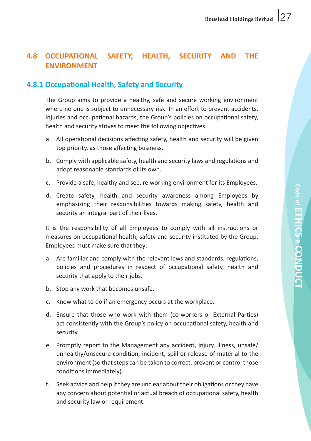# **4.8 OCCUPATIONAL SAFETY, HEALTH, SECURITY AND THE ENVIRONMENT**

# **4.8.1 Occupational Health, Safety and Security**

 The Group aims to provide a healthy, safe and secure working environment where no one is subject to unnecessary risk. In an effort to prevent accidents, injuries and occupational hazards, the Group's policies on occupational safety, health and security strives to meet the following objectives:

- a. All operational decisions affecting safety, health and security will be given top priority, as those affecting business.
- b. Comply with applicable safety, health and security laws and regulations and adopt reasonable standards of its own.
- c. Provide a safe, healthy and secure working environment for its Employees.
- d. Create safety, health and security awareness among Employees by emphasizing their responsibilities towards making safety, health and security an integral part of their lives.

 It is the responsibility of all Employees to comply with all instructions or measures on occupational health, safety and security instituted by the Group. Employees must make sure that they:

- a. Are familiar and comply with the relevant laws and standards, regulations, policies and procedures in respect of occupational safety, health and security that apply to their jobs.
- b. Stop any work that becomes unsafe.
- c. Know what to do if an emergency occurs at the workplace.
- d. Ensure that those who work with them (co-workers or External Parties) act consistently with the Group's policy on occupational safety, health and security.
- e. Promptly report to the Management any accident, injury, illness, unsafe/ unhealthy/unsecure condition, incident, spill or release of material to the environment (so that steps can be taken to correct, prevent or control those conditions immediately).
- f. Seek advice and help if they are unclear about their obligations or they have any concern about potential or actual breach of occupational safety, health and security law or requirement.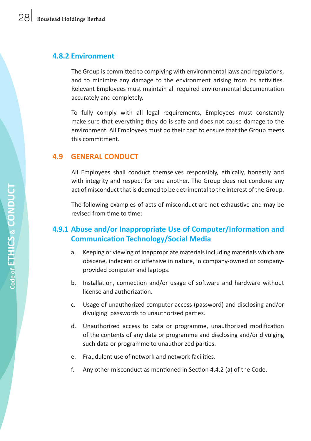#### **4.8.2 Environment**

 The Group is committed to complying with environmental laws and regulations, and to minimize any damage to the environment arising from its activities. Relevant Employees must maintain all required environmental documentation accurately and completely.

 To fully comply with all legal requirements, Employees must constantly make sure that everything they do is safe and does not cause damage to the environment. All Employees must do their part to ensure that the Group meets this commitment.

# **4.9 GENERAL CONDUCT**

 All Employees shall conduct themselves responsibly, ethically, honestly and with integrity and respect for one another. The Group does not condone any act of misconduct that is deemed to be detrimental to the interest of the Group.

 The following examples of acts of misconduct are not exhaustive and may be revised from time to time:

# **4.9.1 Abuse and/or Inappropriate Use of Computer/Information and Communication Technology/Social Media**

- a. Keeping or viewing of inappropriate materials including materials which are obscene, indecent or offensive in nature, in company-owned or companyprovided computer and laptops.
- b. Installation, connection and/or usage of software and hardware without license and authorization.
- c. Usage of unauthorized computer access (password) and disclosing and/or divulging passwords to unauthorized parties.
- d. Unauthorized access to data or programme, unauthorized modification of the contents of any data or programme and disclosing and/or divulging such data or programme to unauthorized parties.
- e. Fraudulent use of network and network facilities.
- f. Any other misconduct as mentioned in Section 4.4.2 (a) of the Code.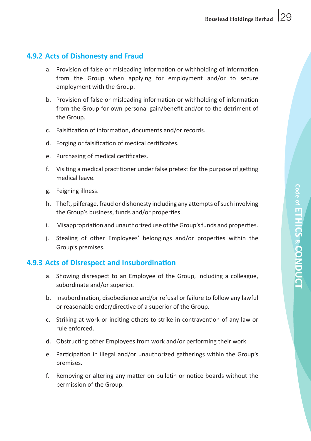# **4.9.2 Acts of Dishonesty and Fraud**

- a. Provision of false or misleading information or withholding of information from the Group when applying for employment and/or to secure employment with the Group.
- b. Provision of false or misleading information or withholding of information from the Group for own personal gain/benefit and/or to the detriment of the Group.
- c. Falsification of information, documents and/or records.
- d. Forging or falsification of medical certificates.
- e. Purchasing of medical certificates.
- $f$ . Visiting a medical practitioner under false pretext for the purpose of getting medical leave.
- g. Feigning illness.
- h. Theft, pilferage, fraud or dishonesty including any attempts ofsuch involving the Group's business, funds and/or properties.
- i. Misappropriation and unauthorized use of the Group's funds and properties.
- j. Stealing of other Employees' belongings and/or properties within the Group's premises.

# **4.9.3 Acts of Disrespect and Insubordination**

- a. Showing disrespect to an Employee of the Group, including a colleague, subordinate and/or superior.
- b. Insubordination, disobedience and/or refusal or failure to follow any lawful or reasonable order/directive of a superior of the Group.
- c. Striking at work or inciting others to strike in contravention of any law or rule enforced.
- d. Obstructing other Employees from work and/or performing their work.
- e. Participation in illegal and/or unauthorized gatherings within the Group's premises.
- f. Removing or altering any matter on bulletin or notice boards without the permission of the Group.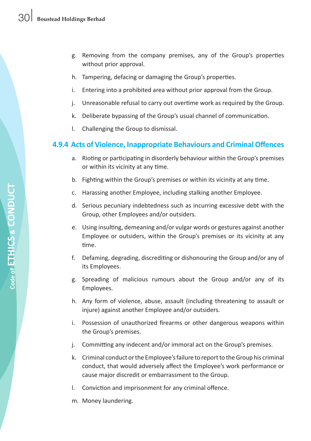- g. Removing from the company premises, any of the Group's properties without prior approval.
- h. Tampering, defacing or damaging the Group's properties.
- i. Entering into a prohibited area without prior approval from the Group.
- j. Unreasonable refusal to carry out overtime work as required by the Group.
- k. Deliberate bypassing of the Group's usual channel of communication.
- l. Challenging the Group to dismissal.

#### **4.9.4 Acts of Violence, Inappropriate Behaviours and Criminal Offences**

- a. Rioting or participating in disorderly behaviour within the Group's premises or within its vicinity at any time.
- b. Fighting within the Group's premises or within its vicinity at any time.
- c. Harassing another Employee, including stalking another Employee.
- d. Serious pecuniary indebtedness such as incurring excessive debt with the Group, other Employees and/or outsiders.
- e. Using insulting, demeaning and/or vulgar words or gestures against another Employee or outsiders, within the Group's premises or its vicinity at any time.
- f. Defaming, degrading, discrediting or dishonouring the Group and/or any of its Employees.
- g. Spreading of malicious rumours about the Group and/or any of its Employees.
- h. Any form of violence, abuse, assault (including threatening to assault or injure) against another Employee and/or outsiders.
- i. Possession of unauthorized firearms or other dangerous weapons within the Group's premises.
- j. Committing any indecent and/or immoral act on the Group's premises.
- k. Criminal conduct or the Employee's failure to report to the Group his criminal conduct, that would adversely affect the Employee's work performance or cause major discredit or embarrassment to the Group.
- I. Conviction and imprisonment for any criminal offence.
- m. Money laundering.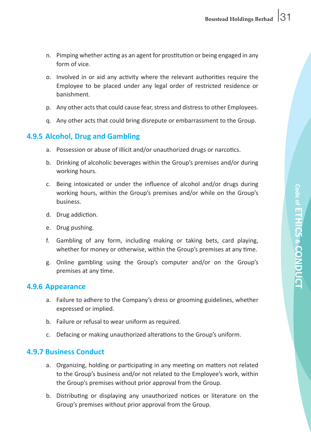- n. Pimping whether acting as an agent for prostitution or being engaged in any form of vice.
- o. Involved in or aid any activity where the relevant authorities require the Employee to be placed under any legal order of restricted residence or banishment.
- p. Any other acts that could cause fear, stress and distress to other Employees.
- q. Any other acts that could bring disrepute or embarrassment to the Group.

# **4.9.5 Alcohol, Drug and Gambling**

- a. Possession or abuse of illicit and/or unauthorized drugs or narcotics.
- b. Drinking of alcoholic beverages within the Group's premises and/or during working hours.
- c. Being intoxicated or under the influence of alcohol and/or drugs during working hours, within the Group's premises and/or while on the Group's business.
- d. Drug addiction.
- e. Drug pushing.
- f. Gambling of any form, including making or taking bets, card playing, whether for money or otherwise, within the Group's premises at any time.
- g. Online gambling using the Group's computer and/or on the Group's premises at any time.

#### **4.9.6 Appearance**

- a. Failure to adhere to the Company's dress or grooming guidelines, whether expressed or implied.
- b. Failure or refusal to wear uniform as required.
- c. Defacing or making unauthorized alterations to the Group's uniform.

# **4.9.7 Business Conduct**

- a. Organizing, holding or participating in any meeting on matters not related to the Group's business and/or not related to the Employee's work, within the Group's premises without prior approval from the Group.
- b. Distributing or displaying any unauthorized notices or literature on the Group's premises without prior approval from the Group.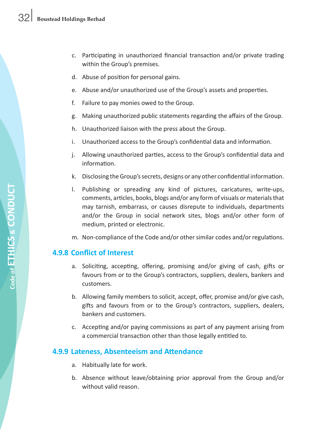- c. Participating in unauthorized financial transaction and/or private trading within the Group's premises.
- d. Abuse of position for personal gains.
- e. Abuse and/or unauthorized use of the Group's assets and properties.
- f. Failure to pay monies owed to the Group.
- g. Making unauthorized public statements regarding the affairs of the Group.
- h. Unauthorized liaison with the press about the Group.
- i. Unauthorized access to the Group's confidential data and information.
- j. Allowing unauthorized parties, access to the Group's confidential data and information.
- k. Disclosing the Group's secrets, designs or any other confidential information.
- I. Publishing or spreading any kind of pictures, caricatures, write-ups, comments, articles, books, blogs and/or any form of visuals or materialsthat may tarnish, embarrass, or causes disrepute to individuals, departments and/or the Group in social network sites, blogs and/or other form of medium, printed or electronic.
- m. Non-compliance of the Code and/or other similar codes and/or regulations.

# **4.9.8 Conflict of Interest**

- a. Soliciting, accepting, offering, promising and/or giving of cash, gifts or favours from or to the Group's contractors, suppliers, dealers, bankers and customers.
- b. Allowing family members to solicit, accept, offer, promise and/or give cash, gifts and favours from or to the Group's contractors, suppliers, dealers, bankers and customers.
- c. Accepting and/or paying commissions as part of any payment arising from a commercial transaction other than those legally entitled to.

# **4.9.9 Lateness, Absenteeism and Attendance**

- a. Habitually late for work.
- b. Absence without leave/obtaining prior approval from the Group and/or without valid reason.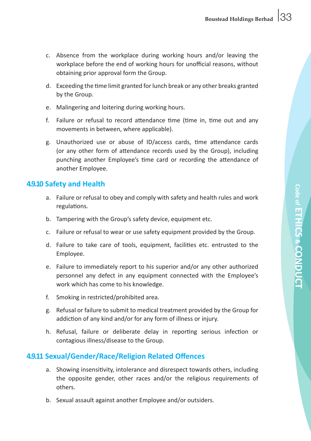- c. Absence from the workplace during working hours and/or leaving the workplace before the end of working hours for unofficial reasons, without obtaining prior approval form the Group.
- d. Exceeding the time limit granted forlunch break or any other breaks granted by the Group.
- e. Malingering and loitering during working hours.
- f. Failure or refusal to record attendance time (time in, time out and any movements in between, where applicable).
- g. Unauthorized use or abuse of ID/access cards, time attendance cards (or any other form of attendance records used by the Group), including punching another Employee's time card or recording the attendance of another Employee.

#### **4.9.10 Safety and Health**

- a. Failure or refusal to obey and comply with safety and health rules and work regulations.
- b. Tampering with the Group's safety device, equipment etc.
- c. Failure or refusal to wear or use safety equipment provided by the Group.
- d. Failure to take care of tools, equipment, facilities etc. entrusted to the Employee.
- e. Failure to immediately report to his superior and/or any other authorized personnel any defect in any equipment connected with the Employee's work which has come to his knowledge.
- f. Smoking in restricted/prohibited area.
- g. Refusal or failure to submit to medical treatment provided by the Group for addiction of any kind and/or for any form of illness or injury.
- h. Refusal, failure or deliberate delay in reporting serious infection or contagious illness/disease to the Group.

# **4.9.11 Sexual/Gender/Race/Religion Related Offences**

- a. Showing insensitivity, intolerance and disrespect towards others, including the opposite gender, other races and/or the religious requirements of others.
- b. Sexual assault against another Employee and/or outsiders.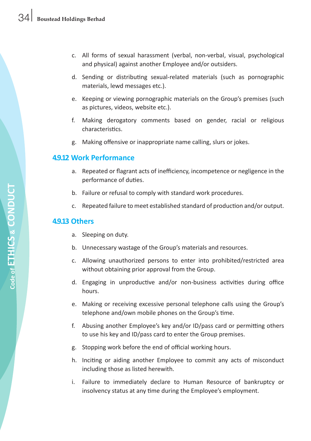- c. All forms of sexual harassment (verbal, non-verbal, visual, psychological and physical) against another Employee and/or outsiders.
- d. Sending or distributing sexual-related materials (such as pornographic materials, lewd messages etc.).
- e. Keeping or viewing pornographic materials on the Group's premises (such as pictures, videos, website etc.).
- f. Making derogatory comments based on gender, racial or religious characteristics.
- g. Making offensive or inappropriate name calling, slurs or jokes.

#### **4.9.12 Work Performance**

- a. Repeated or flagrant acts of inefficiency, incompetence or negligence in the performance of duties.
- b. Failure or refusal to comply with standard work procedures.
- c. Repeated failure to meet established standard of production and/or output.

### **4.9.13 Others**

- a. Sleeping on duty.
- b. Unnecessary wastage of the Group's materials and resources.
- c. Allowing unauthorized persons to enter into prohibited/restricted area without obtaining prior approval from the Group.
- d. Engaging in unproductive and/or non-business activities during office hours.
- e. Making or receiving excessive personal telephone calls using the Group's telephone and/own mobile phones on the Group's time.
- f. Abusing another Employee's key and/or ID/pass card or permitting others to use his key and ID/pass card to enter the Group premises.
- g. Stopping work before the end of official working hours.
- h. Inciting or aiding another Employee to commit any acts of misconduct including those as listed herewith.
- i. Failure to immediately declare to Human Resource of bankruptcy or insolvency status at any time during the Employee's employment.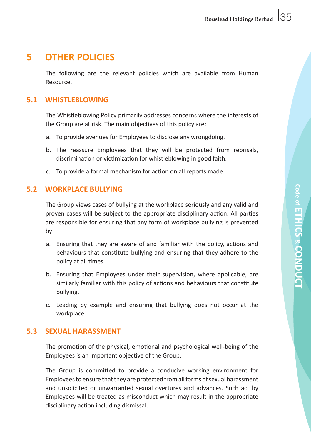# **5 OTHER POLICIES**

 The following are the relevant policies which are available from Human Resource.

### **5.1 WHISTLEBLOWING**

 The Whistleblowing Policy primarily addresses concerns where the interests of the Group are at risk. The main objectives of this policy are:

- a. To provide avenues for Employees to disclose any wrongdoing.
- b. The reassure Employees that they will be protected from reprisals, discrimination or victimization for whistleblowing in good faith.
- c. To provide a formal mechanism for action on all reports made.

# **5.2 WORKPLACE BULLYING**

 The Group views cases of bullying at the workplace seriously and any valid and proven cases will be subject to the appropriate disciplinary action. All parties are responsible for ensuring that any form of workplace bullying is prevented by:

- a. Ensuring that they are aware of and familiar with the policy, actions and behaviours that constitute bullying and ensuring that they adhere to the policy at all times.
- b. Ensuring that Employees under their supervision, where applicable, are similarly familiar with this policy of actions and behaviours that constitute bullying.
- c. Leading by example and ensuring that bullying does not occur at the workplace.

# **5.3 SEXUAL HARASSMENT**

 The promotion of the physical, emotional and psychological well-being of the Employees is an important objective of the Group.

 The Group is committed to provide a conducive working environment for Employees to ensure that they are protected from all forms of sexual harassment and unsolicited or unwarranted sexual overtures and advances. Such act by Employees will be treated as misconduct which may result in the appropriate disciplinary action including dismissal.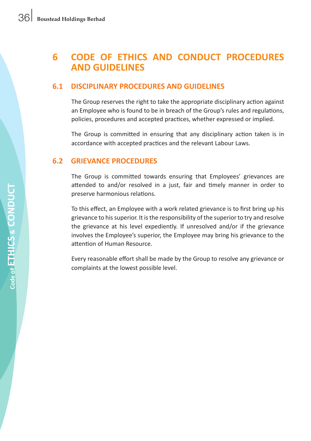# **6 CODE OF ETHICS AND CONDUCT PROCEDURES AND GUIDELINES**

### **6.1 DISCIPLINARY PROCEDURES AND GUIDELINES**

 The Group reserves the right to take the appropriate disciplinary action against an Employee who is found to be in breach of the Group's rules and regulations, policies, procedures and accepted practices, whether expressed or implied.

 The Group is committed in ensuring that any disciplinary action taken is in accordance with accepted practices and the relevant Labour Laws.

#### **6.2 GRIEVANCE PROCEDURES**

 The Group is committed towards ensuring that Employees' grievances are attended to and/or resolved in a just, fair and timely manner in order to preserve harmonious relations.

 To this effect, an Employee with a work related grievance is to first bring up his grievance to hissuperior. It isthe responsibility of the superior to try and resolve the grievance at his level expediently. If unresolved and/or if the grievance involves the Employee's superior, the Employee may bring his grievance to the attention of Human Resource.

 Every reasonable effort shall be made by the Group to resolve any grievance or complaints at the lowest possible level.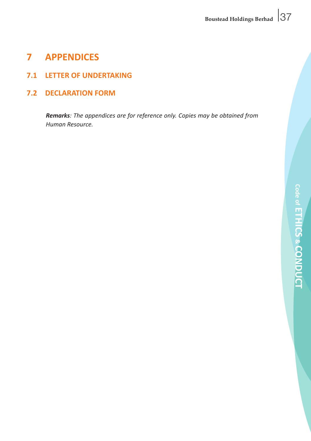# **7 APPENDICES**

# **7.1 LETTER OF UNDERTAKING**

**7.2 DECLARATION FORM**

*Remarks: The appendices are for reference only. Copies may be obtained from Human Resource.*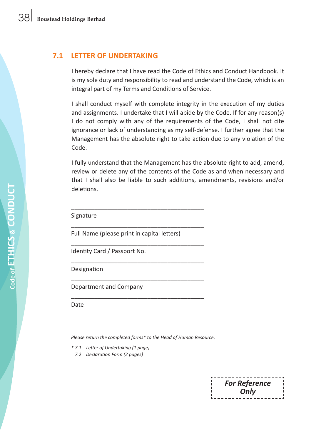#### **7.1 LETTER OF UNDERTAKING**

I hereby declare that I have read the Code of Ethics and Conduct Handbook. It is my sole duty and responsibility to read and understand the Code, which is an integral part of my Terms and Conditions of Service.

 I shall conduct myself with complete integrity in the execution of my duties and assignments. I undertake that I will abide by the Code. If for any reason(s) I do not comply with any of the requirements of the Code, I shall not cite ignorance or lack of understanding as my self-defense. I further agree that the Management has the absolute right to take action due to any violation of the Code.

 I fully understand that the Management has the absolute right to add, amend, review or delete any of the contents of the Code as and when necessary and that I shall also be liable to such additions, amendments, revisions and/or deletions.

 Signature

 Full Name (please print in capital letters)

\_\_\_\_\_\_\_\_\_\_\_\_\_\_\_\_\_\_\_\_\_\_\_\_\_\_\_\_\_\_\_\_\_\_\_\_\_\_\_\_

\_\_\_\_\_\_\_\_\_\_\_\_\_\_\_\_\_\_\_\_\_\_\_\_\_\_\_\_\_\_\_\_\_\_\_\_\_\_\_\_

\_\_\_\_\_\_\_\_\_\_\_\_\_\_\_\_\_\_\_\_\_\_\_\_\_\_\_\_\_\_\_\_\_\_\_\_\_\_\_\_

\_\_\_\_\_\_\_\_\_\_\_\_\_\_\_\_\_\_\_\_\_\_\_\_\_\_\_\_\_\_\_\_\_\_\_\_\_\_\_\_

\_\_\_\_\_\_\_\_\_\_\_\_\_\_\_\_\_\_\_\_\_\_\_\_\_\_\_\_\_\_\_\_\_\_\_\_\_\_\_\_

\_\_\_\_\_\_\_\_\_\_\_\_\_\_\_\_\_\_\_\_\_\_\_\_\_\_\_\_\_\_\_\_\_\_\_\_\_\_\_\_

 Identity Card / Passport No.

 Designation

 Department and Company

**Date** 

*Please return the completed forms\* to the Head of Human Resource.*

- *\* 7.1 Letter of Undertaking (1 page)*
	- *7.2 Declaration Form (2 pages)*

*For Reference Only*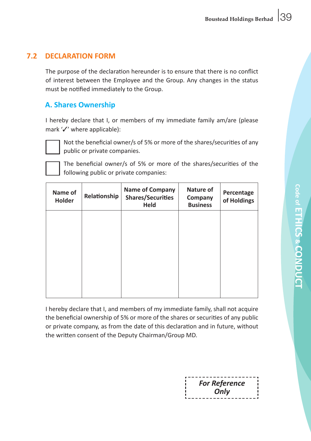# **7.2 DECLARATION FORM**

 The purpose of the declaration hereunder is to ensure that there is no conflict of interest between the Employee and the Group. Any changes in the status must be notified immediately to the Group.

# **A. Shares Ownership**

 I hereby declare that I, or members of my immediate family am/are (please mark  $\mathcal{V}'$  where applicable):



 Not the beneficial owner/s of 5% or more of the shares/securities of any public or private companies.

 The beneficial owner/s of 5% or more of the shares/securities of the following public or private companies:

| Name of<br>Holder | Relationship | <b>Name of Company</b><br><b>Shares/Securities</b><br><b>Held</b> | Nature of<br>Company<br><b>Business</b> | Percentage<br>of Holdings |
|-------------------|--------------|-------------------------------------------------------------------|-----------------------------------------|---------------------------|
|                   |              |                                                                   |                                         |                           |
|                   |              |                                                                   |                                         |                           |
|                   |              |                                                                   |                                         |                           |
|                   |              |                                                                   |                                         |                           |

 I hereby declare that I, and members of my immediate family, shall not acquire the beneficial ownership of 5% or more of the shares or securities of any public or private company, as from the date of this declaration and in future, without the written consent of the Deputy Chairman/Group MD.

| -----------------    |  |
|----------------------|--|
|                      |  |
| <b>For Reference</b> |  |
|                      |  |
| Only                 |  |
|                      |  |
| -------------------- |  |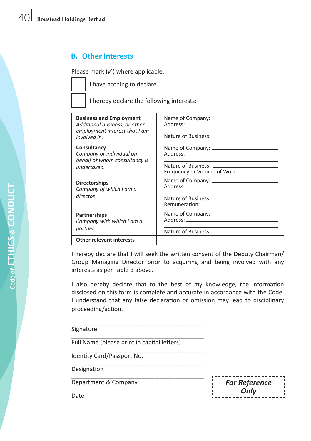# **B. Other Interests**

Please mark  $(\checkmark)$  where applicable:

 I have nothing to declare.

 I hereby declare the following interests:-

| <b>Business and Employment</b><br>Additional business, or other<br>employment interest that I am<br>involved in. |                                                                                               |
|------------------------------------------------------------------------------------------------------------------|-----------------------------------------------------------------------------------------------|
| Consultancy<br>Company or individual on<br>behalf of whom consultancy is                                         |                                                                                               |
| undertaken.                                                                                                      | Nature of Business: _________________________<br>Frequency or Volume of Work: _______________ |
| <b>Directorships</b><br>Company of which I am a                                                                  | Address: Address:                                                                             |
| director.                                                                                                        |                                                                                               |
| <b>Partnerships</b><br>Company with which I am a                                                                 |                                                                                               |
| partner.                                                                                                         |                                                                                               |
| <b>Other relevant interests</b>                                                                                  |                                                                                               |

 I hereby declare that I will seek the written consent of the Deputy Chairman/ Group Managing Director prior to acquiring and being involved with any interests as per Table B above.

 I also hereby declare that to the best of my knowledge, the information disclosed on this form is complete and accurate in accordance with the Code. I understand that any false declaration or omission may lead to disciplinary proceeding/action.

\_\_\_\_\_\_\_\_\_\_\_\_\_\_\_\_\_\_\_\_\_\_\_\_\_\_\_\_\_\_\_\_\_\_\_\_\_\_\_\_ **Signature** 

\_\_\_\_\_\_\_\_\_\_\_\_\_\_\_\_\_\_\_\_\_\_\_\_\_\_\_\_\_\_\_\_\_\_\_\_\_\_\_\_ Full Name (please print in capital letters)

\_\_\_\_\_\_\_\_\_\_\_\_\_\_\_\_\_\_\_\_\_\_\_\_\_\_\_\_\_\_\_\_\_\_\_\_\_\_\_\_ Identity Card/Passport No.

\_\_\_\_\_\_\_\_\_\_\_\_\_\_\_\_\_\_\_\_\_\_\_\_\_\_\_\_\_\_\_\_\_\_\_\_\_\_\_\_ **Designation** 

\_\_\_\_\_\_\_\_\_\_\_\_\_\_\_\_\_\_\_\_\_\_\_\_\_\_\_\_\_\_\_\_\_\_\_\_\_\_\_\_ Department & Company<br>Date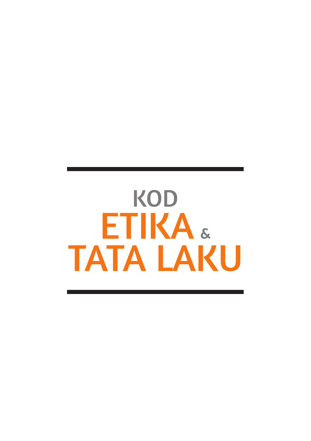# KOD ETIKA & TATA LAKU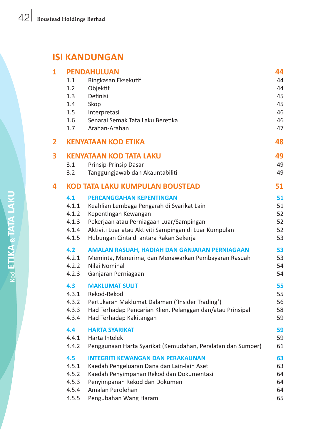# **ISI KANDUNGAN**

| 1 |       | <b>PENDAHULUAN</b>                                          | 44 |
|---|-------|-------------------------------------------------------------|----|
|   | 1.1   | Ringkasan Eksekutif                                         | 44 |
|   | 1.2   | Objektif                                                    | 44 |
|   | 1.3   | Definisi                                                    | 45 |
|   | 1.4   | Skop                                                        | 45 |
|   | 1.5   | Interpretasi                                                | 46 |
|   | 1.6   | Senarai Semak Tata Laku Beretika                            | 46 |
|   | 1.7   | Arahan-Arahan                                               | 47 |
| 2 |       | <b>KENYATAAN KOD ETIKA</b>                                  | 48 |
| 3 |       | <b>KENYATAAN KOD TATA LAKU</b>                              | 49 |
|   | 3.1   | Prinsip-Prinsip Dasar                                       | 49 |
|   | 3.2   | Tanggungjawab dan Akauntabiliti                             | 49 |
| 4 |       | KOD TATA LAKU KUMPULAN BOUSTEAD                             | 51 |
|   | 4.1   | <b>PERCANGGAHAN KEPENTINGAN</b>                             | 51 |
|   | 4.1.1 | Keahlian Lembaga Pengarah di Syarikat Lain                  | 51 |
|   | 4.1.2 | Kepentingan Kewangan                                        | 52 |
|   | 4.1.3 | Pekerjaan atau Perniagaan Luar/Sampingan                    | 52 |
|   | 4.1.4 | Aktiviti Luar atau Aktiviti Sampingan di Luar Kumpulan      | 52 |
|   | 4.1.5 | Hubungan Cinta di antara Rakan Sekerja                      | 53 |
|   | 4.2   | AMALAN RASUAH, HADIAH DAN GANJARAN PERNIAGAAN               | 53 |
|   | 4.2.1 | Meminta, Menerima, dan Menawarkan Pembayaran Rasuah         | 53 |
|   | 4.2.2 | Nilai Nominal                                               | 54 |
|   | 4.2.3 | Ganjaran Perniagaan                                         | 54 |
|   | 4.3   | <b>MAKLUMAT SULIT</b>                                       | 55 |
|   | 4.3.1 | Rekod-Rekod                                                 | 55 |
|   | 4.3.2 | Pertukaran Maklumat Dalaman ('Insider Trading')             | 56 |
|   | 4.3.3 | Had Terhadap Pencarian Klien, Pelanggan dan/atau Prinsipal  | 58 |
|   | 4.3.4 | Had Terhadap Kakitangan                                     | 59 |
|   | 4.4   | <b>HARTA SYARIKAT</b>                                       | 59 |
|   | 4.4.1 | Harta Intelek                                               | 59 |
|   | 4.4.2 | Penggunaan Harta Syarikat (Kemudahan, Peralatan dan Sumber) | 61 |
|   | 4.5   | <b>INTEGRITI KEWANGAN DAN PERAKAUNAN</b>                    | 63 |
|   | 4.5.1 | Kaedah Pengeluaran Dana dan Lain-lain Aset                  | 63 |
|   | 4.5.2 | Kaedah Penyimpanan Rekod dan Dokumentasi                    | 64 |
|   | 4.5.3 | Penyimpanan Rekod dan Dokumen                               | 64 |
|   | 4.5.4 | Amalan Perolehan                                            | 64 |
|   | 4.5.5 | Pengubahan Wang Haram                                       | 65 |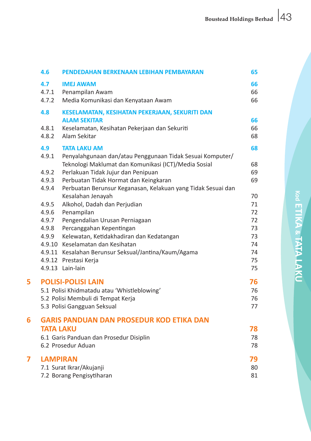|   | 4.6                   | PENDEDAHAN BERKENAAN LEBIHAN PEMBAYARAN                                    | 65             |
|---|-----------------------|----------------------------------------------------------------------------|----------------|
|   | 4.7<br>4.7.1<br>4.7.2 | <b>IMEJ AWAM</b><br>Penampilan Awam<br>Media Komunikasi dan Kenyataan Awam | 66<br>66<br>66 |
|   | 4.8                   | KESELAMATAN, KESIHATAN PEKERJAAN, SEKURITI DAN                             |                |
|   |                       | <b>ALAM SEKITAR</b>                                                        | 66             |
|   | 4.8.1                 | Keselamatan, Kesihatan Pekerjaan dan Sekuriti                              | 66             |
|   | 4.8.2                 | Alam Sekitar                                                               | 68             |
|   | 4.9                   | <b>TATA LAKU AM</b>                                                        | 68             |
|   | 4.9.1                 | Penyalahgunaan dan/atau Penggunaan Tidak Sesuai Komputer/                  |                |
|   |                       | Teknologi Maklumat dan Komunikasi (ICT)/Media Sosial                       | 68             |
|   | 4.9.2                 | Perlakuan Tidak Jujur dan Penipuan                                         | 69             |
|   | 4.9.3                 | Perbuatan Tidak Hormat dan Keingkaran                                      | 69             |
|   | 4.9.4                 | Perbuatan Berunsur Keganasan, Kelakuan yang Tidak Sesuai dan               |                |
|   |                       | Kesalahan Jenayah                                                          | 70             |
|   | 4.9.5                 | Alkohol, Dadah dan Perjudian                                               | 71             |
|   | 4.9.6                 | Penampilan                                                                 | 72             |
|   | 4.9.7                 | Pengendalian Urusan Perniagaan                                             | 72             |
|   | 4.9.8                 | Percanggahan Kepentingan                                                   | 73             |
|   | 4.9.9                 | Kelewatan, Ketidakhadiran dan Kedatangan                                   | 73             |
|   |                       | 4.9.10 Keselamatan dan Kesihatan                                           | 74             |
|   |                       | 4.9.11 Kesalahan Berunsur Seksual/Jantina/Kaum/Agama                       | 74             |
|   |                       | 4.9.12 Prestasi Kerja                                                      | 75             |
|   |                       | 4.9.13 Lain-lain                                                           | 75             |
| 5 |                       | <b>POLISI-POLISI LAIN</b>                                                  | 76             |
|   |                       | 5.1 Polisi Khidmatadu atau 'Whistleblowing'                                | 76             |
|   |                       | 5.2 Polisi Membuli di Tempat Kerja                                         | 76             |
|   |                       | 5.3 Polisi Gangguan Seksual                                                | 77             |
| 6 |                       | <b>GARIS PANDUAN DAN PROSEDUR KOD ETIKA DAN</b>                            |                |
|   | <b>TATA LAKU</b>      |                                                                            | 78             |
|   |                       | 6.1 Garis Panduan dan Prosedur Disiplin                                    | 78             |
|   |                       | 6.2 Prosedur Aduan                                                         | 78             |
| 7 | <b>LAMPIRAN</b>       |                                                                            | 79             |
|   |                       | 7.1 Surat Ikrar/Akujanji                                                   | 80             |
|   |                       | 7.2 Borang Pengisytiharan                                                  | 81             |
|   |                       |                                                                            |                |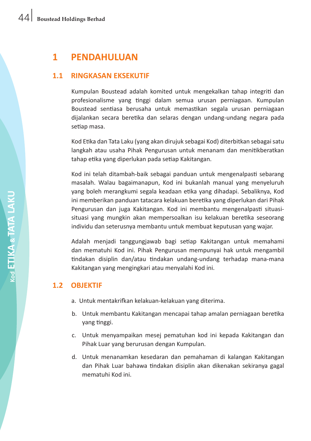# **1 PENDAHULUAN**

# **1.1 RINGKASAN EKSEKUTIF**

Kumpulan Boustead adalah komited untuk mengekalkan tahap integriti dan profesionalisme yang tinggi dalam semua urusan perniagaan. Kumpulan Boustead sentiasa berusaha untuk memastikan segala urusan perniagaan dijalankan secara beretika dan selaras dengan undang-undang negara pada setiap masa.

 Kod Etika dan Tata Laku (yang akan dirujuk sebagai Kod) diterbitkan sebagaisatu langkah atau usaha Pihak Pengurusan untuk menanam dan menitikberatkan tahap etika yang diperlukan pada setiap Kakitangan.

 Kod ini telah ditambah-baik sebagai panduan untuk mengenalpasti sebarang masalah. Walau bagaimanapun, Kod ini bukanlah manual yang menyeluruh yang boleh merangkumi segala keadaan etika yang dihadapi. Sebaliknya, Kod ini memberikan panduan tatacara kelakuan beretika yang diperlukan dari Pihak Pengurusan dan juga Kakitangan. Kod ini membantu mengenalpasti situasisituasi yang mungkin akan mempersoalkan isu kelakuan beretika seseorang individu dan seterusnya membantu untuk membuat keputusan yang wajar.

 Adalah menjadi tanggungjawab bagi setiap Kakitangan untuk memahami dan mematuhi Kod ini. Pihak Pengurusan mempunyai hak untuk mengambil tindakan disiplin dan/atau tindakan undang-undang terhadap mana-mana Kakitangan yang mengingkari atau menyalahi Kod ini.

# **1.2 OBJEKTIF**

- a. Untuk mentakrifkan kelakuan-kelakuan yang diterima.
- b. Untuk membantu Kakitangan mencapai tahap amalan perniagaan beretika yang tinggi.
- c. Untuk menyampaikan mesej pematuhan kod ini kepada Kakitangan dan Pihak Luar yang berurusan dengan Kumpulan.
- d. Untuk menanamkan kesedaran dan pemahaman di kalangan Kakitangan dan Pihak Luar bahawa tindakan disiplin akan dikenakan sekiranya gagal mematuhi Kod ini.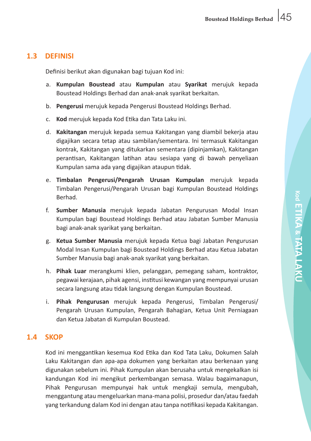#### **1.3 DEFINISI**

 Definisi berikut akan digunakan bagi tujuan Kod ini:

- a. **Kumpulan Boustead** atau **Kumpulan** atau **Syarikat** merujuk kepada Boustead Holdings Berhad dan anak-anak syarikat berkaitan.
- b. **Pengerusi** merujuk kepada Pengerusi Boustead Holdings Berhad.
- c. **Kod** merujuk kepada Kod Etika dan Tata Laku ini.
- d. **Kakitangan** merujuk kepada semua Kakitangan yang diambil bekerja atau digajikan secara tetap atau sambilan/sementara. Ini termasuk Kakitangan kontrak, Kakitangan yang ditukarkan sementara (dipinjamkan), Kakitangan perantisan, Kakitangan latihan atau sesiapa yang di bawah penyeliaan Kumpulan sama ada yang digajikan ataupun tidak.
- e. **Timbalan Pengerusi/Pengarah Urusan Kumpulan** merujuk kepada Timbalan Pengerusi/Pengarah Urusan bagi Kumpulan Boustead Holdings Berhad.
- f. **Sumber Manusia** merujuk kepada Jabatan Pengurusan Modal Insan Kumpulan bagi Boustead Holdings Berhad atau Jabatan Sumber Manusia bagi anak-anak syarikat yang berkaitan.
- g. **Ketua Sumber Manusia** merujuk kepada Ketua bagi Jabatan Pengurusan Modal Insan Kumpulan bagi Boustead Holdings Berhad atau Ketua Jabatan Sumber Manusia bagi anak-anak syarikat yang berkaitan.
- h. **Pihak Luar** merangkumi klien, pelanggan, pemegang saham, kontraktor, pegawai kerajaan, pihak agensi, institusi kewangan yang mempunyai urusan secara langsung atau tidak langsung dengan Kumpulan Boustead.
- i. **Pihak Pengurusan** merujuk kepada Pengerusi, Timbalan Pengerusi/ Pengarah Urusan Kumpulan, Pengarah Bahagian, Ketua Unit Perniagaan dan Ketua Jabatan di Kumpulan Boustead.

#### **1.4 SKOP**

 Kod ini menggantikan kesemua Kod Etika dan Kod Tata Laku, Dokumen Salah Laku Kakitangan dan apa-apa dokumen yang berkaitan atau berkenaan yang digunakan sebelum ini. Pihak Kumpulan akan berusaha untuk mengekalkan isi kandungan Kod ini mengikut perkembangan semasa. Walau bagaimanapun, Pihak Pengurusan mempunyai hak untuk mengkaji semula, mengubah, menggantung atau mengeluarkan mana-mana polisi, prosedur dan/atau faedah yang terkandung dalam Kod ini dengan atau tanpa notifikasi kepada Kakitangan.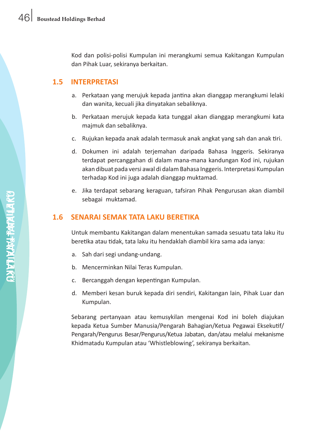Kod dan polisi-polisi Kumpulan ini merangkumi semua Kakitangan Kumpulan dan Pihak Luar, sekiranya berkaitan.

# **1.5 INTERPRETASI**

- a. Perkataan yang merujuk kepada jantina akan dianggap merangkumi lelaki dan wanita, kecuali jika dinyatakan sebaliknya.
- b. Perkataan merujuk kepada kata tunggal akan dianggap merangkumi kata majmuk dan sebaliknya.
- c. Rujukan kepada anak adalah termasuk anak angkat yang sah dan anak tiri.
- d. Dokumen ini adalah terjemahan daripada Bahasa Inggeris. Sekiranya terdapat percanggahan di dalam mana-mana kandungan Kod ini, rujukan akan dibuat pada versi awal di dalam Bahasa Inggeris. Interpretasi Kumpulan terhadap Kod ini juga adalah dianggap muktamad.
- e. Jika terdapat sebarang keraguan, tafsiran Pihak Pengurusan akan diambil sebagai muktamad.

# **1.6 SENARAI SEMAK TATA LAKU BERETIKA**

 Untuk membantu Kakitangan dalam menentukan samada sesuatu tata laku itu beretika atau tidak, tata laku itu hendaklah diambil kira sama ada ianya:

- a. Sah dari segi undang-undang.
- b. Mencerminkan Nilai Teras Kumpulan.
- c. Bercanggah dengan kepentingan Kumpulan.
- d. Memberi kesan buruk kepada diri sendiri, Kakitangan lain, Pihak Luar dan Kumpulan.

 Sebarang pertanyaan atau kemusykilan mengenai Kod ini boleh diajukan kepada Ketua Sumber Manusia/Pengarah Bahagian/Ketua Pegawai Eksekutif/ Pengarah/Pengurus Besar/Pengurus/Ketua Jabatan, dan/atau melalui mekanisme Khidmatadu Kumpulan atau 'Whistleblowing', sekiranya berkaitan.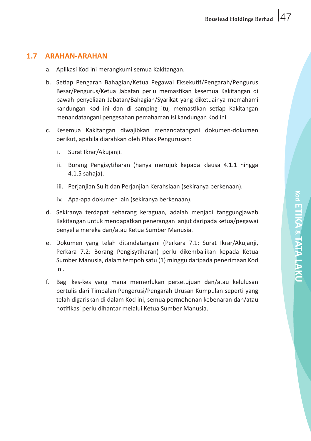# **1.7 ARAHAN-ARAHAN**

- a. Aplikasi Kod ini merangkumi semua Kakitangan.
- b. Setiap Pengarah Bahagian/Ketua Pegawai Eksekutif/Pengarah/Pengurus Besar/Pengurus/Ketua Jabatan perlu memastikan kesemua Kakitangan di bawah penyeliaan Jabatan/Bahagian/Syarikat yang diketuainya memahami kandungan Kod ini dan di samping itu, memastikan setiap Kakitangan menandatangani pengesahan pemahaman isi kandungan Kod ini.
- c. Kesemua Kakitangan diwajibkan menandatangani dokumen-dokumen berikut, apabila diarahkan oleh Pihak Pengurusan:
	- i. Surat Ikrar/Akujanii.
	- ii. Borang Pengisytiharan (hanya merujuk kepada klausa 4.1.1 hingga 4.1.5 sahaja).
	- iii. Perjanjian Sulit dan Perjanjian Kerahsiaan (sekiranya berkenaan).
	- iv. Apa-apa dokumen lain (sekiranya berkenaan).
- d. Sekiranya terdapat sebarang keraguan, adalah menjadi tanggungjawab Kakitangan untuk mendapatkan penerangan lanjut daripada ketua/pegawai penyelia mereka dan/atau Ketua Sumber Manusia.
- e. Dokumen yang telah ditandatangani (Perkara 7.1: Surat Ikrar/Akujanji, Perkara 7.2: Borang Pengisytiharan) perlu dikembalikan kepada Ketua Sumber Manusia, dalam tempoh satu (1) minggu daripada penerimaan Kod ini.
- f. Bagi kes-kes yang mana memerlukan persetujuan dan/atau kelulusan bertulis dari Timbalan Pengerusi/Pengarah Urusan Kumpulan seperti yang telah digariskan di dalam Kod ini, semua permohonan kebenaran dan/atau notifikasi perlu dihantar melalui Ketua Sumber Manusia.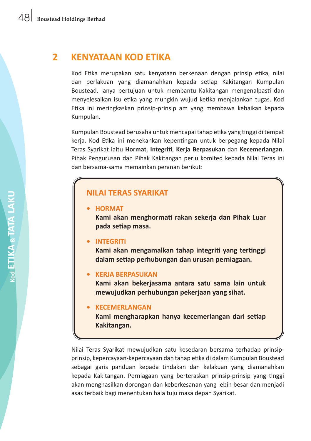# **2 KENYATAAN KOD ETIKA**

 Kod Etika merupakan satu kenyataan berkenaan dengan prinsip etika, nilai dan perlakuan yang diamanahkan kepada setiap Kakitangan Kumpulan Boustead. Ianya bertujuan untuk membantu Kakitangan mengenalpasti dan menyelesaikan isu etika yang mungkin wujud ketika menjalankan tugas. Kod Etika ini meringkaskan prinsip-prinsip am yang membawa kebaikan kepada Kumpulan.

 Kumpulan Boustead berusaha untuk mencapai tahap etika yang tinggi di tempat kerja. Kod Etika ini menekankan kepentingan untuk berpegang kepada Nilai Teras Syarikat iaitu **Hormat**, **Integriti**, **Kerja Berpasukan** dan **Kecemerlangan**. Pihak Pengurusan dan Pihak Kakitangan perlu komited kepada Nilai Teras ini dan bersama-sama memainkan peranan berikut:

# **NILAI TERAS SYARIKAT**

**• HORMAT**

**Kami akan menghormati rakan sekerja dan Pihak Luar pada setiap masa.**

#### **• INTEGRITI**

**Kami akan mengamalkan tahap integriti yang tertinggi dalam setiap perhubungan dan urusan perniagaan.**

#### **• KERJA BERPASUKAN**

**Kami akan bekerjasama antara satu sama lain untuk mewujudkan perhubungan pekerjaan yang sihat.**

#### **• KECEMERLANGAN**

**Kami mengharapkan hanya kecemerlangan dari setiap Kakitangan.**

Nilai Teras Syarikat mewujudkan satu kesedaran bersama terhadap prinsipprinsip, kepercayaan-kepercayaan dan tahap etika di dalam Kumpulan Boustead sebagai garis panduan kepada tindakan dan kelakuan yang diamanahkan kepada Kakitangan. Perniagaan yang berteraskan prinsip-prinsip yang tinggi akan menghasilkan dorongan dan keberkesanan yang lebih besar dan menjadi asas terbaik bagi menentukan hala tuju masa depan Syarikat.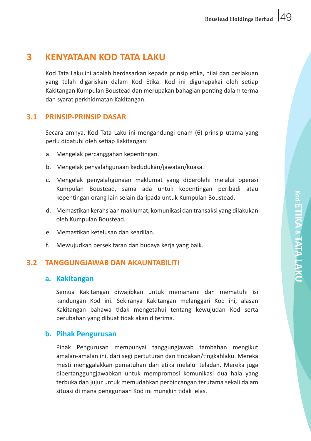# **3 KENYATAAN KOD TATA LAKU**

 Kod Tata Laku ini adalah berdasarkan kepada prinsip etika, nilai dan perlakuan yang telah digariskan dalam Kod Etika. Kod ini digunapakai oleh setiap Kakitangan Kumpulan Boustead dan merupakan bahagian penting dalam terma dan syarat perkhidmatan Kakitangan.

# **3.1 PRINSIP-PRINSIP DASAR**

Secara amnya, Kod Tata Laku ini mengandungi enam (6) prinsip utama yang perlu dipatuhi oleh setiap Kakitangan:

- a. Mengelak percanggahan kepentingan.
- b. Mengelak penyalahgunaan kedudukan/jawatan/kuasa.
- c. Mengelak penyalahgunaan maklumat yang diperolehi melalui operasi Kumpulan Boustead, sama ada untuk kepentingan peribadi atau kepentingan orang lain selain daripada untuk Kumpulan Boustead.
- d. Memastikan kerahsiaan maklumat, komunikasi dan transaksi yang dilakukan oleh Kumpulan Boustead.
- e. Memastikan ketelusan dan keadilan.
- f. Mewujudkan persekitaran dan budaya kerja yang baik.

#### **3.2 TANGGUNGJAWAB DAN AKAUNTABILITI**

#### **a. Kakitangan**

 Semua Kakitangan diwajibkan untuk memahami dan mematuhi isi kandungan Kod ini. Sekiranya Kakitangan melanggari Kod ini, alasan Kakitangan bahawa tidak mengetahui tentang kewujudan Kod serta perubahan yang dibuat tidak akan diterima.

#### **b. Pihak Pengurusan**

 Pihak Pengurusan mempunyai tanggungjawab tambahan mengikut amalan-amalan ini, dari segi pertuturan dan tindakan/tingkahlaku. Mereka mesti menggalakkan pematuhan dan etika melalui teladan. Mereka juga dipertanggungjawabkan untuk mempromosi komunikasi dua hala yang terbuka dan jujur untuk memudahkan perbincangan terutama sekali dalam situasi di mana penggunaan Kod ini mungkin tidak jelas.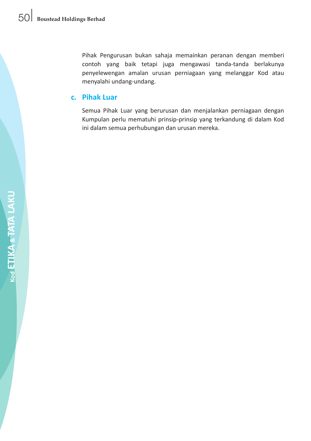Pihak Pengurusan bukan sahaja memainkan peranan dengan memberi contoh yang baik tetapi juga mengawasi tanda-tanda berlakunya penyelewengan amalan urusan perniagaan yang melanggar Kod atau menyalahi undang-undang.

## **c. Pihak Luar**

 Semua Pihak Luar yang berurusan dan menjalankan perniagaan dengan Kumpulan perlu mematuhi prinsip-prinsip yang terkandung di dalam Kod ini dalam semua perhubungan dan urusan mereka.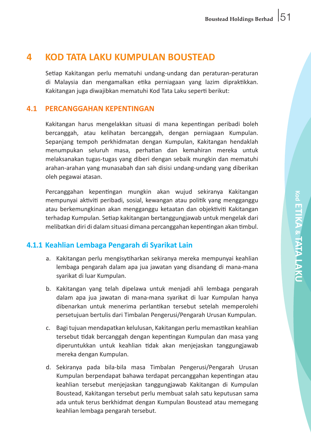# **4 KOD TATA LAKU KUMPULAN BOUSTEAD**

Setiap Kakitangan perlu mematuhi undang-undang dan peraturan-peraturan di Malaysia dan mengamalkan etika perniagaan yang lazim dipraktikkan. Kakitangan juga diwajibkan mematuhi Kod Tata Laku seperti berikut:

### **4.1 PERCANGGAHAN KEPENTINGAN**

 Kakitangan harus mengelakkan situasi di mana kepentingan peribadi boleh bercanggah, atau kelihatan bercanggah, dengan perniagaan Kumpulan. Sepanjang tempoh perkhidmatan dengan Kumpulan, Kakitangan hendaklah menumpukan seluruh masa, perhatian dan kemahiran mereka untuk melaksanakan tugas-tugas yang diberi dengan sebaik mungkin dan mematuhi arahan-arahan yang munasabah dan sah disisi undang-undang yang diberikan oleh pegawai atasan.

 Percanggahan kepentingan mungkin akan wujud sekiranya Kakitangan mempunyai aktiviti peribadi, sosial, kewangan atau politik yang mengganggu atau berkemungkinan akan mengganggu ketaatan dan objektiviti Kakitangan terhadap Kumpulan. Setiap kakitangan bertanggungjawab untuk mengelak dari melibatkan diri di dalam situasi dimana percanggahan kepentingan akan timbul.

# **4.1.1 Keahlian Lembaga Pengarah di Syarikat Lain**

- a. Kakitangan perlu mengisytiharkan sekiranya mereka mempunyai keahlian lembaga pengarah dalam apa jua jawatan yang disandang di mana-mana syarikat di luar Kumpulan.
- b. Kakitangan yang telah dipelawa untuk menjadi ahli lembaga pengarah dalam apa jua jawatan di mana-mana syarikat di luar Kumpulan hanya dibenarkan untuk menerima perlantikan tersebut setelah memperolehi persetujuan bertulis dari Timbalan Pengerusi/Pengarah Urusan Kumpulan.
- c. Bagi tujuan mendapatkan kelulusan, Kakitangan perlu memastikan keahlian tersebut tidak bercanggah dengan kepentingan Kumpulan dan masa yang diperuntukkan untuk keahlian tidak akan menjejaskan tanggungjawab mereka dengan Kumpulan.
- d. Sekiranya pada bila-bila masa Timbalan Pengerusi/Pengarah Urusan Kumpulan berpendapat bahawa terdapat percanggahan kepentingan atau keahlian tersebut menjejaskan tanggungjawab Kakitangan di Kumpulan Boustead, Kakitangan tersebut perlu membuat salah satu keputusan sama ada untuk terus berkhidmat dengan Kumpulan Boustead atau memegang keahlian lembaga pengarah tersebut.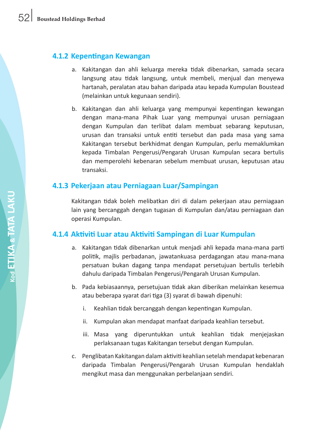# **4.1.2 Kepentingan Kewangan**

- a. Kakitangan dan ahli keluarga mereka tidak dibenarkan, samada secara langsung atau tidak langsung, untuk membeli, menjual dan menyewa hartanah, peralatan atau bahan daripada atau kepada Kumpulan Boustead (melainkan untuk kegunaan sendiri).
- b. Kakitangan dan ahli keluarga yang mempunyai kepentingan kewangan dengan mana-mana Pihak Luar yang mempunyai urusan perniagaan dengan Kumpulan dan terlibat dalam membuat sebarang keputusan, urusan dan transaksi untuk entiti tersebut dan pada masa yang sama Kakitangan tersebut berkhidmat dengan Kumpulan, perlu memaklumkan kepada Timbalan Pengerusi/Pengarah Urusan Kumpulan secara bertulis dan memperolehi kebenaran sebelum membuat urusan, keputusan atau transaksi.

# **4.1.3 Pekerjaan atau Perniagaan Luar/Sampingan**

 Kakitangan tidak boleh melibatkan diri di dalam pekerjaan atau perniagaan lain yang bercanggah dengan tugasan di Kumpulan dan/atau perniagaan dan operasi Kumpulan.

# **4.1.4 Aktiviti Luar atau Aktiviti Sampingan di Luar Kumpulan**

- a. Kakitangan tidak dibenarkan untuk menjadi ahli kepada mana-mana parti politik, majlis perbadanan, jawatankuasa perdagangan atau mana-mana persatuan bukan dagang tanpa mendapat persetujuan bertulis terlebih dahulu daripada Timbalan Pengerusi/Pengarah Urusan Kumpulan.
- b. Pada kebiasaannya, persetujuan tidak akan diberikan melainkan kesemua atau beberapa syarat dari tiga (3) syarat di bawah dipenuhi:
	- i. Keahlian tidak bercanggah dengan kepentingan Kumpulan.
	- ii. Kumpulan akan mendapat manfaat daripada keahlian tersebut.
	- iii. Masa yang diperuntukkan untuk keahlian tidak menjejaskan perlaksanaan tugas Kakitangan tersebut dengan Kumpulan.
- c. Penglibatan Kakitangan dalamaktiviti keahlian setelahmendapat kebenaran daripada Timbalan Pengerusi/Pengarah Urusan Kumpulan hendaklah mengikut masa dan menggunakan perbelanjaan sendiri.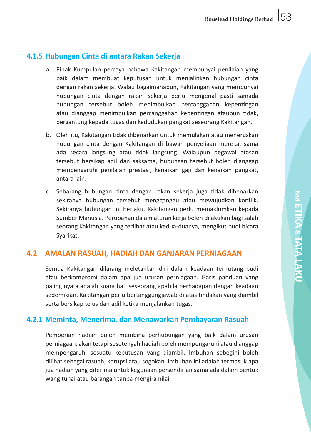# **4.1.5 Hubungan Cinta di antara Rakan Sekerja**

- a. Pihak Kumpulan percaya bahawa Kakitangan mempunyai penilaian yang baik dalam membuat keputusan untuk menjalinkan hubungan cinta dengan rakan sekerja. Walau bagaimanapun, Kakitangan yang mempunyai hubungan cinta dengan rakan sekerja perlu mengenal pasti samada hubungan tersebut boleh menimbulkan percanggahan kepentingan atau dianggap menimbulkan percanggahan kepentingan ataupun tidak, bergantung kepada tugas dan kedudukan pangkat seseorang Kakitangan.
- b. Oleh itu, Kakitangan tidak dibenarkan untuk memulakan atau meneruskan hubungan cinta dengan Kakitangan di bawah penyeliaan mereka, sama ada secara langsung atau tidak langsung. Walaupun pegawai atasan tersebut bersikap adil dan saksama, hubungan tersebut boleh dianggap mempengaruhi penilaian prestasi, kenaikan gaji dan kenaikan pangkat, antara lain.
- c. Sebarang hubungan cinta dengan rakan sekerja juga tidak dibenarkan sekiranya hubungan tersebut mengganggu atau mewujudkan konflik. Sekiranya hubungan ini berlaku, Kakitangan perlu memaklumkan kepada Sumber Manusia. Perubahan dalam aturan kerja boleh dilakukan bagi salah seorang Kakitangan yang terlibat atau kedua-duanya, mengikut budi bicara Syarikat.

# **4.2 AMALAN RASUAH, HADIAH DAN GANJARAN PERNIAGAAN**

 Semua Kakitangan dilarang meletakkan diri dalam keadaan terhutang budi atau berkompromi dalam apa jua urusan perniagaan. Garis panduan yang paling nyata adalah suara hati seseorang apabila berhadapan dengan keadaan sedemikian. Kakitangan perlu bertanggungjawab di atas tindakan yang diambil serta bersikap telus dan adil ketika menjalankan tugas.

# **4.2.1 Meminta, Menerima, dan Menawarkan Pembayaran Rasuah**

Pemberian hadiah boleh membina perhubungan yang baik dalam urusan perniagaan, akan tetapisesetengah hadiah boleh mempengaruhi atau dianggap mempengaruhi sesuatu keputusan yang diambil. Imbuhan sebegini boleh dilihat sebagai rasuah, korupsi atau sogokan. Imbuhan ini adalah termasuk apa jua hadiah yang diterima untuk kegunaan persendirian sama ada dalam bentuk wang tunai atau barangan tanpa mengira nilai.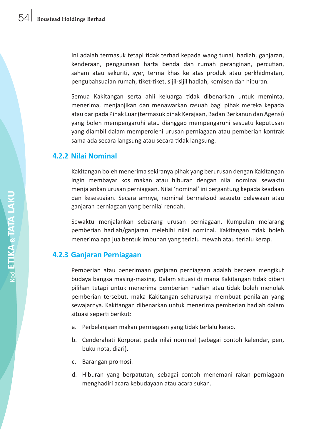Ini adalah termasuk tetapi tidak terhad kepada wang tunai, hadiah, ganjaran, kenderaan, penggunaan harta benda dan rumah peranginan, percutian, saham atau sekuriti, syer, terma khas ke atas produk atau perkhidmatan, pengubahsuaian rumah, tiket-tiket, sijil-sijil hadiah, komisen dan hiburan.

 Semua Kakitangan serta ahli keluarga tidak dibenarkan untuk meminta, menerima, menjanjikan dan menawarkan rasuah bagi pihak mereka kepada atau daripada Pihak Luar(termasuk pihak Kerajaan, Badan Berkanun dan Agensi) yang boleh mempengaruhi atau dianggap mempengaruhi sesuatu keputusan yang diambil dalam memperolehi urusan perniagaan atau pemberian kontrak sama ada secara langsung atau secara tidak langsung.

# **4.2.2 Nilai Nominal**

 Kakitangan boleh menerima sekiranya pihak yang berurusan dengan Kakitangan ingin membayar kos makan atau hiburan dengan nilai nominal sewaktu menjalankan urusan perniagaan. Nilai 'nominal' ini bergantung kepada keadaan dan kesesuaian. Secara amnya, nominal bermaksud sesuatu pelawaan atau ganjaran perniagaan yang bernilai rendah.

 Sewaktu menjalankan sebarang urusan perniagaan, Kumpulan melarang pemberian hadiah/ganjaran melebihi nilai nominal. Kakitangan tidak boleh menerima apa jua bentuk imbuhan yang terlalu mewah atau terlalu kerap.

# **4.2.3 Ganjaran Perniagaan**

 Pemberian atau penerimaan ganjaran perniagaan adalah berbeza mengikut budaya bangsa masing-masing. Dalam situasi di mana Kakitangan tidak diberi pilihan tetapi untuk menerima pemberian hadiah atau tidak boleh menolak pemberian tersebut, maka Kakitangan seharusnya membuat penilaian yang sewajarnya. Kakitangan dibenarkan untuk menerima pemberian hadiah dalam situasi seperti berikut:

- a. Perbelanjaan makan perniagaan yang tidak terlalu kerap.
- b. Cenderahati Korporat pada nilai nominal (sebagai contoh kalendar, pen, buku nota, diari).
- c. Barangan promosi.
- d. Hiburan yang berpatutan; sebagai contoh menemani rakan perniagaan menghadiri acara kebudayaan atau acara sukan.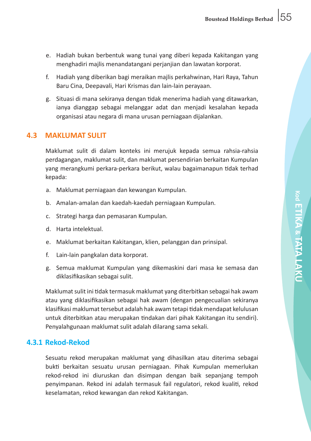- e. Hadiah bukan berbentuk wang tunai yang diberi kepada Kakitangan yang menghadiri majlis menandatangani perjanjian dan lawatan korporat.
- f. Hadiah yang diberikan bagi meraikan majlis perkahwinan, Hari Raya, Tahun Baru Cina, Deepavali, Hari Krismas dan lain-lain perayaan.
- g. Situasi di mana sekiranya dengan tidak menerima hadiah yang ditawarkan, ianya dianggap sebagai melanggar adat dan menjadi kesalahan kepada organisasi atau negara di mana urusan perniagaan dijalankan.

# **4.3 MAKLUMAT SULIT**

 Maklumat sulit di dalam konteks ini merujuk kepada semua rahsia-rahsia perdagangan, maklumat sulit, dan maklumat persendirian berkaitan Kumpulan yang merangkumi perkara-perkara berikut, walau bagaimanapun tidak terhad kepada:

- a. Maklumat perniagaan dan kewangan Kumpulan.
- b. Amalan-amalan dan kaedah-kaedah perniagaan Kumpulan.
- c. Strategi harga dan pemasaran Kumpulan.
- d. Harta intelektual.
- e. Maklumat berkaitan Kakitangan, klien, pelanggan dan prinsipal.
- f. Lain-lain pangkalan data korporat.
- g. Semua maklumat Kumpulan yang dikemaskini dari masa ke semasa dan diklasifikasikan sebagai sulit.

 Maklumatsulit ini tidak termasuk maklumat yang diterbitkan sebagai hak awam atau yang diklasifikasikan sebagai hak awam (dengan pengecualian sekiranya klasifikasi maklumat tersebut adalah hak awam tetapi tidak mendapat kelulusan untuk diterbitkan atau merupakan tindakan dari pihak Kakitangan itu sendiri). Penyalahgunaan maklumat sulit adalah dilarang sama sekali.

# **4.3.1 Rekod-Rekod**

Sesuatu rekod merupakan maklumat yang dihasilkan atau diterima sebagai bukti berkaitan sesuatu urusan perniagaan. Pihak Kumpulan memerlukan rekod-rekod ini diuruskan dan disimpan dengan baik sepanjang tempoh penyimpanan. Rekod ini adalah termasuk fail regulatori, rekod kualiti, rekod keselamatan, rekod kewangan dan rekod Kakitangan.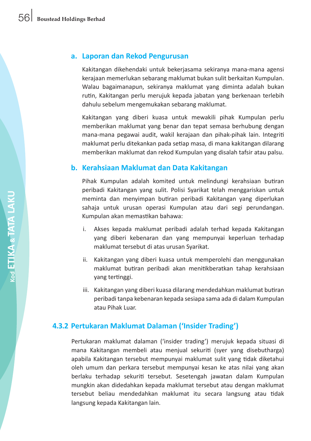#### **a. Laporan dan Rekod Pengurusan**

 Kakitangan dikehendaki untuk bekerjasama sekiranya mana-mana agensi kerajaan memerlukan sebarang maklumat bukan sulit berkaitan Kumpulan. Walau bagaimanapun, sekiranya maklumat yang diminta adalah bukan rutin, Kakitangan perlu merujuk kepada jabatan yang berkenaan terlebih dahulu sebelum mengemukakan sebarang maklumat.

 Kakitangan yang diberi kuasa untuk mewakili pihak Kumpulan perlu memberikan maklumat yang benar dan tepat semasa berhubung dengan mana-mana pegawai audit, wakil kerajaan dan pihak-pihak lain. Integriti maklumat perlu ditekankan pada setiap masa, di mana kakitangan dilarang memberikan maklumat dan rekod Kumpulan yang disalah tafsir atau palsu.

#### **b. Kerahsiaan Maklumat dan Data Kakitangan**

 Pihak Kumpulan adalah komited untuk melindungi kerahsiaan butiran peribadi Kakitangan yang sulit. Polisi Syarikat telah menggariskan untuk meminta dan menyimpan butiran peribadi Kakitangan yang diperlukan sahaja untuk urusan operasi Kumpulan atau dari segi perundangan. Kumpulan akan memastikan bahawa:

- i. Akses kepada maklumat peribadi adalah terhad kepada Kakitangan yang diberi kebenaran dan yang mempunyai keperluan terhadap maklumat tersebut di atas urusan Syarikat.
- ii. Kakitangan yang diberi kuasa untuk memperolehi dan menggunakan maklumat butiran peribadi akan menitikberatkan tahap kerahsiaan yang tertinggi.
- iii. Kakitangan yang diberi kuasa dilarang mendedahkan maklumat butiran peribadi tanpa kebenaran kepada sesiapa sama ada di dalam Kumpulan atau Pihak Luar.

# **4.3.2 Pertukaran Maklumat Dalaman ('Insider Trading')**

 Pertukaran maklumat dalaman ('insider trading') merujuk kepada situasi di mana Kakitangan membeli atau menjual sekuriti (syer yang disebutharga) apabila Kakitangan tersebut mempunyai maklumat sulit yang tidak diketahui oleh umum dan perkara tersebut mempunyai kesan ke atas nilai yang akan berlaku terhadap sekuriti tersebut. Sesetengah jawatan dalam Kumpulan mungkin akan didedahkan kepada maklumat tersebut atau dengan maklumat tersebut beliau mendedahkan maklumat itu secara langsung atau tidak langsung kepada Kakitangan lain.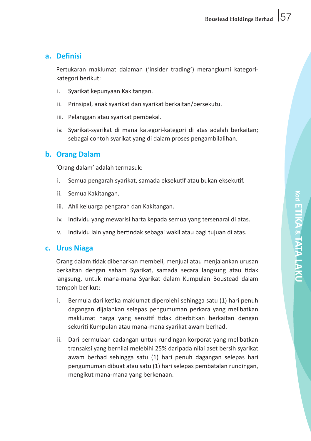## **a. Definisi**

 Pertukaran maklumat dalaman ('insider trading') merangkumi kategorikategori berikut:

- i. Syarikat kepunyaan Kakitangan.
- ii. Prinsipal, anak syarikat dan syarikat berkaitan/bersekutu.
- iii. Pelanggan atau syarikat pembekal.
- iv. Syarikat-syarikat di mana kategori-kategori di atas adalah berkaitan; sebagai contoh syarikat yang di dalam proses pengambilalihan.

# **b. Orang Dalam**

 'Orang dalam' adalah termasuk:

- i. Semua pengarah syarikat, samada eksekutif atau bukan eksekutif.
- ii. Semua Kakitangan.
- iii. Ahli keluarga pengarah dan Kakitangan.
- iv. Individu yang mewarisi harta kepada semua yang tersenarai di atas.
- v. Individu lain yang bertindak sebagai wakil atau bagi tujuan di atas.

#### **c. Urus Niaga**

 Orang dalam tidak dibenarkan membeli, menjual atau menjalankan urusan berkaitan dengan saham Syarikat, samada secara langsung atau tidak langsung, untuk mana-mana Syarikat dalam Kumpulan Boustead dalam tempoh berikut:

- i. Bermula dari ketika maklumat diperolehi sehingga satu (1) hari penuh dagangan dijalankan selepas pengumuman perkara yang melibatkan maklumat harga yang sensitif tidak diterbitkan berkaitan dengan sekuriti Kumpulan atau mana-mana syarikat awam berhad.
- ii. Dari permulaan cadangan untuk rundingan korporat yang melibatkan transaksi yang bernilai melebihi 25% daripada nilai aset bersih syarikat awam berhad sehingga satu (1) hari penuh dagangan selepas hari pengumuman dibuat atau satu (1) hari selepas pembatalan rundingan, mengikut mana-mana yang berkenaan.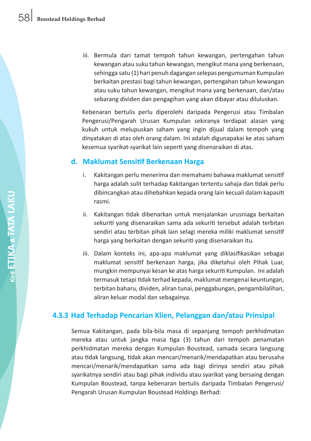iii. Bermula dari tamat tempoh tahun kewangan, pertengahan tahun kewangan atau suku tahun kewangan, mengikut mana yang berkenaan, sehingga satu (1) hari penuh dagangan selepas pengumuman Kumpulan berkaitan prestasi bagi tahun kewangan, pertengahan tahun kewangan atau suku tahun kewangan, mengikut mana yang berkenaan, dan/atau sebarang dividen dan pengagihan yang akan dibayar atau diluluskan.

 Kebenaran bertulis perlu diperolehi daripada Pengerusi atau Timbalan Pengerusi/Pengarah Urusan Kumpulan sekiranya terdapat alasan yang kukuh untuk melupuskan saham yang ingin dijual dalam tempoh yang dinyatakan di atas oleh orang dalam. Ini adalah digunapakai ke atas saham kesemua syarikat-syarikat lain seperti yang disenaraikan di atas.

#### **d. Maklumat Sensitif Berkenaan Harga**

- i. Kakitangan perlu menerima dan memahami bahawa maklumat sensitif harga adalah sulit terhadap Kakitangan tertentu sahaja dan tidak perlu dibincangkan atau dihebahkan kepada orang lain kecuali dalam kapasiti rasmi.
- ii. Kakitangan tidak dibenarkan untuk menjalankan urusniaga berkaitan sekuriti yang disenaraikan sama ada sekuriti tersebut adalah terbitan sendiri atau terbitan pihak lain selagi mereka miliki maklumat sensitif harga yang berkaitan dengan sekuriti yang disenaraikan itu.
- iii. Dalam konteks ini, apa-apa maklumat yang diklasifikasikan sebagai maklumat sensitif berkenaan harga, jika diketahui oleh Pihak Luar, mungkin mempunyai kesan ke atas harga sekuriti Kumpulan. Ini adalah termasuk tetapi tidak terhad kepada, maklumat mengenai keuntungan, terbitan baharu, dividen, aliran tunai, penggabungan, pengambilalihan, aliran keluar modal dan sebagainya.

# **4.3.3 Had Terhadap Pencarian Klien, Pelanggan dan/atau Prinsipal**

Semua Kakitangan, pada bila-bila masa di sepanjang tempoh perkhidmatan mereka atau untuk jangka masa tiga (3) tahun dari tempoh penamatan perkhidmatan mereka dengan Kumpulan Boustead, samada secara langsung atau tidak langsung, tidak akan mencari/menarik/mendapatkan atau berusaha mencari/menarik/mendapatkan sama ada bagi dirinya sendiri atau pihak syarikatnya sendiri atau bagi pihak individu atau syarikat yang bersaing dengan Kumpulan Boustead, tanpa kebenaran bertulis daripada Timbalan Pengerusi/ Pengarah Urusan Kumpulan Boustead Holdings Berhad: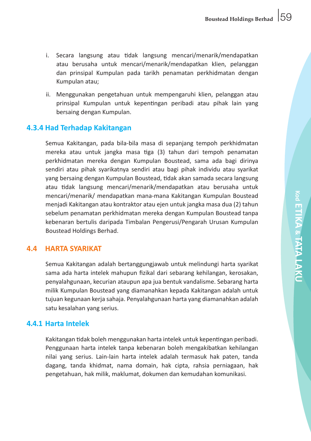- i. Secara langsung atau tidak langsung mencari/menarik/mendapatkan atau berusaha untuk mencari/menarik/mendapatkan klien, pelanggan dan prinsipal Kumpulan pada tarikh penamatan perkhidmatan dengan Kumpulan atau;
- ii. Menggunakan pengetahuan untuk mempengaruhi klien, pelanggan atau prinsipal Kumpulan untuk kepentingan peribadi atau pihak lain yang bersaing dengan Kumpulan.

# **4.3.4 Had Terhadap Kakitangan**

 Semua Kakitangan, pada bila-bila masa di sepanjang tempoh perkhidmatan mereka atau untuk jangka masa tiga (3) tahun dari tempoh penamatan perkhidmatan mereka dengan Kumpulan Boustead, sama ada bagi dirinya sendiri atau pihak syarikatnya sendiri atau bagi pihak individu atau syarikat yang bersaing dengan Kumpulan Boustead, tidak akan samada secara langsung atau tidak langsung mencari/menarik/mendapatkan atau berusaha untuk mencari/menarik/ mendapatkan mana-mana Kakitangan Kumpulan Boustead menjadi Kakitangan atau kontraktor atau ejen untuk jangka masa dua (2) tahun sebelum penamatan perkhidmatan mereka dengan Kumpulan Boustead tanpa kebenaran bertulis daripada Timbalan Pengerusi/Pengarah Urusan Kumpulan Boustead Holdings Berhad.

#### **4.4 HARTA SYARIKAT**

Semua Kakitangan adalah bertanggungjawab untuk melindungi harta syarikat sama ada harta intelek mahupun fizikal dari sebarang kehilangan, kerosakan, penyalahgunaan, kecurian ataupun apa jua bentuk vandalisme. Sebarang harta milik Kumpulan Boustead yang diamanahkan kepada Kakitangan adalah untuk tujuan kegunaan kerja sahaja. Penyalahgunaan harta yang diamanahkan adalah satu kesalahan yang serius.

#### **4.4.1 Harta Intelek**

 Kakitangan tidak boleh menggunakan harta intelek untuk kepentingan peribadi. Penggunaan harta intelek tanpa kebenaran boleh mengakibatkan kehilangan nilai yang serius. Lain-lain harta intelek adalah termasuk hak paten, tanda dagang, tanda khidmat, nama domain, hak cipta, rahsia perniagaan, hak pengetahuan, hak milik, maklumat, dokumen dan kemudahan komunikasi.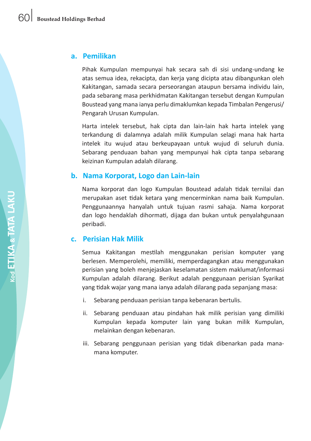#### **a. Pemilikan**

 Pihak Kumpulan mempunyai hak secara sah di sisi undang-undang ke atas semua idea, rekacipta, dan kerja yang dicipta atau dibangunkan oleh Kakitangan, samada secara perseorangan ataupun bersama individu lain, pada sebarang masa perkhidmatan Kakitangan tersebut dengan Kumpulan Boustead yang mana ianya perlu dimaklumkan kepada Timbalan Pengerusi/ Pengarah Urusan Kumpulan.

 Harta intelek tersebut, hak cipta dan lain-lain hak harta intelek yang terkandung di dalamnya adalah milik Kumpulan selagi mana hak harta intelek itu wujud atau berkeupayaan untuk wujud di seluruh dunia. Sebarang penduaan bahan yang mempunyai hak cipta tanpa sebarang keizinan Kumpulan adalah dilarang.

#### **b. Nama Korporat, Logo dan Lain-lain**

 Nama korporat dan logo Kumpulan Boustead adalah tidak ternilai dan merupakan aset tidak ketara yang mencerminkan nama baik Kumpulan. Penggunaannya hanyalah untuk tujuan rasmi sahaja. Nama korporat dan logo hendaklah dihormati, dijaga dan bukan untuk penyalahgunaan peribadi.

#### **c. Perisian Hak Milik**

 Semua Kakitangan mestilah menggunakan perisian komputer yang berlesen. Memperolehi, memiliki, memperdagangkan atau menggunakan perisian yang boleh menjejaskan keselamatan sistem maklumat/informasi Kumpulan adalah dilarang. Berikut adalah penggunaan perisian Syarikat yang tidak wajar yang mana ianya adalah dilarang pada sepanjang masa:

- i. Sebarang penduaan perisian tanpa kebenaran bertulis.
- ii. Sebarang penduaan atau pindahan hak milik perisian yang dimiliki Kumpulan kepada komputer lain yang bukan milik Kumpulan, melainkan dengan kebenaran.
- iii. Sebarang penggunaan perisian yang tidak dibenarkan pada manamana komputer.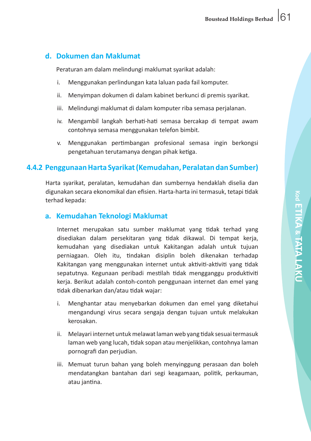# **d. Dokumen dan Maklumat**

 Peraturan am dalam melindungi maklumat syarikat adalah:

- i. Menggunakan perlindungan kata laluan pada fail komputer.
- ii. Menyimpan dokumen di dalam kabinet berkunci di premis syarikat.
- iii. Melindungi maklumat di dalam komputer riba semasa perjalanan.
- iv. Mengambil langkah berhati-hati semasa bercakap di tempat awam contohnya semasa menggunakan telefon bimbit.
- v. Menggunakan pertimbangan profesional semasa ingin berkongsi pengetahuan terutamanya dengan pihak ketiga.

# **4.4.2 Penggunaan Harta Syarikat (Kemudahan, Peralatan dan Sumber)**

 Harta syarikat, peralatan, kemudahan dan sumbernya hendaklah diselia dan digunakan secara ekonomikal dan efisien. Harta-harta ini termasuk, tetapi tidak terhad kepada:

## **a. Kemudahan Teknologi Maklumat**

 Internet merupakan satu sumber maklumat yang tidak terhad yang disediakan dalam persekitaran yang tidak dikawal. Di tempat kerja, kemudahan yang disediakan untuk Kakitangan adalah untuk tujuan perniagaan. Oleh itu, tindakan disiplin boleh dikenakan terhadap Kakitangan yang menggunakan internet untuk aktiviti-aktiviti yang tidak sepatutnya. Kegunaan peribadi mestilah tidak mengganggu produktiviti keria. Berikut adalah contoh-contoh penggunaan internet dan emel yang tidak dibenarkan dan/atau tidak wajar:

- i. Menghantar atau menyebarkan dokumen dan emel yang diketahui mengandungi virus secara sengaja dengan tujuan untuk melakukan kerosakan.
- ii. Melayari internet untuk melawat laman web yang tidak sesuai termasuk laman web yang lucah, tidak sopan atau menjelikkan, contohnya laman pornografi dan perjudian.
- iii. Memuat turun bahan yang boleh menyinggung perasaan dan boleh mendatangkan bantahan dari segi keagamaan, politik, perkauman, atau jantina.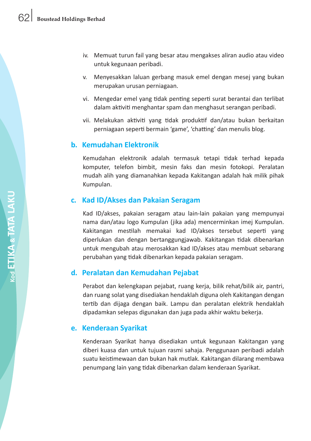- iv. Memuat turun fail yang besar atau mengakses aliran audio atau video untuk kegunaan peribadi.
- v. Menyesakkan laluan gerbang masuk emel dengan mesej yang bukan merupakan urusan perniagaan.
- vi. Mengedar emel yang tidak penting seperti surat berantai dan terlibat dalam aktiviti menghantar spam dan menghasut serangan peribadi.
- vii. Melakukan aktiviti yang tidak produktif dan/atau bukan berkaitan perniagaan seperti bermain 'game', 'chatting' dan menulis blog.

#### **b. Kemudahan Elektronik**

 Kemudahan elektronik adalah termasuk tetapi tidak terhad kepada komputer, telefon bimbit, mesin faks dan mesin fotokopi. Peralatan mudah alih yang diamanahkan kepada Kakitangan adalah hak milik pihak Kumpulan.

#### **c. Kad ID/Akses dan Pakaian Seragam**

 Kad ID/akses, pakaian seragam atau lain-lain pakaian yang mempunyai nama dan/atau logo Kumpulan (jika ada) mencerminkan imej Kumpulan. Kakitangan mestilah memakai kad ID/akses tersebut seperti yang diperlukan dan dengan bertanggungjawab. Kakitangan tidak dibenarkan untuk mengubah atau merosakkan kad ID/akses atau membuat sebarang perubahan yang tidak dibenarkan kepada pakaian seragam.

#### **d. Peralatan dan Kemudahan Pejabat**

 Perabot dan kelengkapan pejabat, ruang kerja, bilik rehat/bilik air, pantri, dan ruang solat yang disediakan hendaklah diguna oleh Kakitangan dengan tertib dan dijaga dengan baik. Lampu dan peralatan elektrik hendaklah dipadamkan selepas digunakan dan juga pada akhir waktu bekerja.

#### **e. Kenderaan Syarikat**

 Kenderaan Syarikat hanya disediakan untuk kegunaan Kakitangan yang diberi kuasa dan untuk tujuan rasmi sahaja. Penggunaan peribadi adalah suatu keistimewaan dan bukan hak mutlak. Kakitangan dilarang membawa penumpang lain yang tidak dibenarkan dalam kenderaan Syarikat.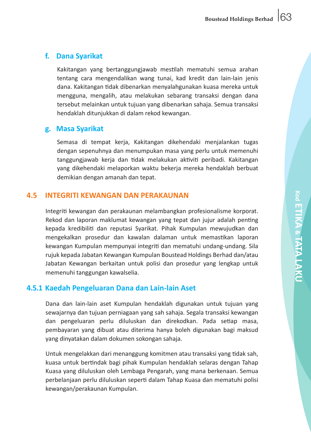# **f. Dana Syarikat**

 Kakitangan yang bertanggungjawab mestilah mematuhi semua arahan tentang cara mengendalikan wang tunai, kad kredit dan lain-lain jenis dana. Kakitangan tidak dibenarkan menyalahgunakan kuasa mereka untuk mengguna, mengalih, atau melakukan sebarang transaksi dengan dana tersebut melainkan untuk tujuan yang dibenarkan sahaja. Semua transaksi hendaklah ditunjukkan di dalam rekod kewangan.

# **g. Masa Syarikat**

 Semasa di tempat kerja, Kakitangan dikehendaki menjalankan tugas dengan sepenuhnya dan menumpukan masa yang perlu untuk memenuhi tanggungjawab kerja dan tidak melakukan aktiviti peribadi. Kakitangan yang dikehendaki melaporkan waktu bekerja mereka hendaklah berbuat demikian dengan amanah dan tepat.

## **4.5 INTEGRITI KEWANGAN DAN PERAKAUNAN**

Integriti kewangan dan perakaunan melambangkan profesionalisme korporat. Rekod dan laporan maklumat kewangan yang tepat dan jujur adalah penting kepada kredibiliti dan reputasi Syarikat. Pihak Kumpulan mewujudkan dan mengekalkan prosedur dan kawalan dalaman untuk memastikan laporan kewangan Kumpulan mempunyai integriti dan mematuhi undang-undang. Sila rujuk kepada Jabatan Kewangan Kumpulan Boustead Holdings Berhad dan/atau Jabatan Kewangan berkaitan untuk polisi dan prosedur yang lengkap untuk memenuhi tanggungan kawalselia.

# **4.5.1 Kaedah Pengeluaran Dana dan Lain-lain Aset**

Dana dan lain-lain aset Kumpulan hendaklah digunakan untuk tujuan yang sewajarnya dan tujuan perniagaan yang sah sahaja. Segala transaksi kewangan dan pengeluaran perlu diluluskan dan direkodkan. Pada setiap masa, pembayaran yang dibuat atau diterima hanya boleh digunakan bagi maksud yang dinyatakan dalam dokumen sokongan sahaja.

 Untuk mengelakkan dari menanggung komitmen atau transaksi yang tidak sah, kuasa untuk bertindak bagi pihak Kumpulan hendaklah selaras dengan Tahap Kuasa yang diluluskan oleh Lembaga Pengarah, yang mana berkenaan. Semua perbelanjaan perlu diluluskan seperti dalam Tahap Kuasa dan mematuhi polisi kewangan/perakaunan Kumpulan.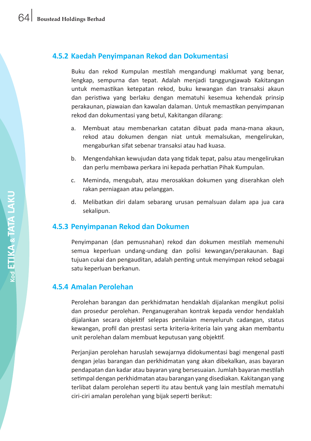# **4.5.2 Kaedah Penyimpanan Rekod dan Dokumentasi**

 Buku dan rekod Kumpulan mestilah mengandungi maklumat yang benar, lengkap, sempurna dan tepat. Adalah menjadi tanggungjawab Kakitangan untuk memastikan ketepatan rekod, buku kewangan dan transaksi akaun dan peristiwa yang berlaku dengan mematuhi kesemua kehendak prinsip perakaunan, piawaian dan kawalan dalaman. Untuk memastikan penyimpanan rekod dan dokumentasi yang betul, Kakitangan dilarang:

- a. Membuat atau membenarkan catatan dibuat pada mana-mana akaun, rekod atau dokumen dengan niat untuk memalsukan, mengelirukan, mengaburkan sifat sebenar transaksi atau had kuasa.
- b. Mengendahkan kewujudan data yang tidak tepat, palsu atau mengelirukan dan perlu membawa perkara ini kepada perhatian Pihak Kumpulan.
- c. Meminda, mengubah, atau merosakkan dokumen yang diserahkan oleh rakan perniagaan atau pelanggan.
- d. Melibatkan diri dalam sebarang urusan pemalsuan dalam apa jua cara sekalipun.

# **4.5.3 Penyimpanan Rekod dan Dokumen**

Penyimpanan (dan pemusnahan) rekod dan dokumen mestilah memenuhi semua keperluan undang-undang dan polisi kewangan/perakaunan. Bagi tujuan cukai dan pengauditan, adalah penting untuk menyimpan rekod sebagai satu keperluan berkanun.

#### **4.5.4 Amalan Perolehan**

Perolehan barangan dan perkhidmatan hendaklah dijalankan mengikut polisi dan prosedur perolehan. Penganugerahan kontrak kepada vendor hendaklah dijalankan secara objektif selepas penilaian menyeluruh cadangan, status kewangan, profil dan prestasi serta kriteria-kriteria lain yang akan membantu unit perolehan dalam membuat keputusan yang objektif.

 Perjanjian perolehan haruslah sewajarnya didokumentasi bagi mengenal pasti dengan jelas barangan dan perkhidmatan yang akan dibekalkan, asas bayaran pendapatan dan kadar atau bayaran yang bersesuaian. Jumlah bayaran mestilah setimpal dengan perkhidmatan atau barangan yang disediakan. Kakitangan yang terlibat dalam perolehan seperti itu atau bentuk yang lain mestilah mematuhi ciri-ciri amalan perolehan yang bijak seperti berikut: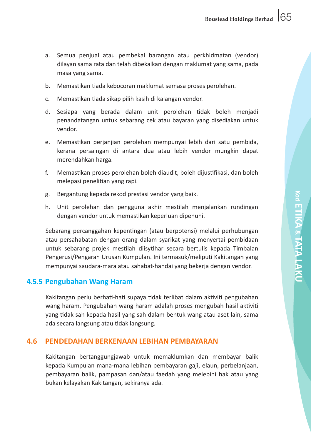- a. Semua penjual atau pembekal barangan atau perkhidmatan (vendor) dilayan sama rata dan telah dibekalkan dengan maklumat yang sama, pada masa yang sama.
- b. Memastikan tiada kebocoran maklumat semasa proses perolehan.
- c. Memastikan tiada sikap pilih kasih di kalangan vendor.
- d. Sesiapa yang berada dalam unit perolehan tidak boleh menjadi penandatangan untuk sebarang cek atau bayaran yang disediakan untuk vendor.
- e. Memastikan perjanjian perolehan mempunyai lebih dari satu pembida, kerana persaingan di antara dua atau lebih vendor mungkin dapat merendahkan harga.
- f. Memastikan proses perolehan boleh diaudit, boleh dijustifikasi, dan boleh melepasi penelitian yang rapi.
- g. Bergantung kepada rekod prestasi vendor yang baik.
- h. Unit perolehan dan pengguna akhir mestilah menjalankan rundingan dengan vendor untuk memastikan keperluan dipenuhi.

 Sebarang percanggahan kepentingan (atau berpotensi) melalui perhubungan atau persahabatan dengan orang dalam syarikat yang menyertai pembidaan untuk sebarang projek mestilah diisytihar secara bertulis kepada Timbalan Pengerusi/Pengarah Urusan Kumpulan. Ini termasuk/meliputi Kakitangan yang mempunyai saudara-mara atau sahabat-handai yang bekerja dengan vendor.

#### **4.5.5 Pengubahan Wang Haram**

 Kakitangan perlu berhati-hati supaya tidak terlibat dalam aktiviti pengubahan wang haram. Pengubahan wang haram adalah proses mengubah hasil aktiviti yang tidak sah kepada hasil yang sah dalam bentuk wang atau aset lain, sama ada secara langsung atau tidak langsung.

#### **4.6 PENDEDAHAN BERKENAAN LEBIHAN PEMBAYARAN**

 Kakitangan bertanggungjawab untuk memaklumkan dan membayar balik kepada Kumpulan mana-mana lebihan pembayaran gaji, elaun, perbelanjaan, pembayaran balik, pampasan dan/atau faedah yang melebihi hak atau yang bukan kelayakan Kakitangan, sekiranya ada.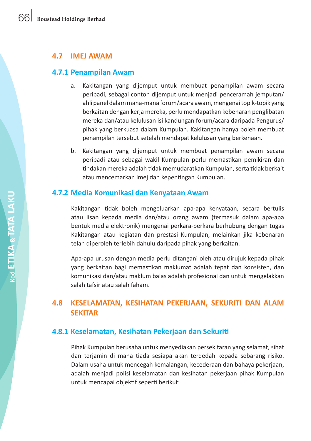#### **4.7 IMEJ AWAM**

#### **4.7.1 Penampilan Awam**

- a. Kakitangan yang dijemput untuk membuat penampilan awam secara peribadi, sebagai contoh dijemput untuk menjadi penceramah jemputan/ ahli panel dalam mana-mana forum/acara awam, mengenai topik-topik yang berkaitan dengan kerja mereka, perlu mendapatkan kebenaran penglibatan mereka dan/atau kelulusan isi kandungan forum/acara daripada Pengurus/ pihak yang berkuasa dalam Kumpulan. Kakitangan hanya boleh membuat penampilan tersebut setelah mendapat kelulusan yang berkenaan.
- b. Kakitangan yang dijemput untuk membuat penampilan awam secara peribadi atau sebagai wakil Kumpulan perlu memastikan pemikiran dan tindakan mereka adalah tidak memudaratkan Kumpulan,serta tidak berkait atau mencemarkan imej dan kepentingan Kumpulan.

#### **4.7.2 Media Komunikasi dan Kenyataan Awam**

Kakitangan tidak boleh mengeluarkan apa-apa kenyataan, secara bertulis atau lisan kepada media dan/atau orang awam (termasuk dalam apa-apa bentuk media elektronik) mengenai perkara-perkara berhubung dengan tugas Kakitangan atau kegiatan dan prestasi Kumpulan, melainkan jika kebenaran telah diperoleh terlebih dahulu daripada pihak yang berkaitan.

 Apa-apa urusan dengan media perlu ditangani oleh atau dirujuk kepada pihak yang berkaitan bagi memastikan maklumat adalah tepat dan konsisten, dan komunikasi dan/atau maklum balas adalah profesional dan untuk mengelakkan salah tafsir atau salah faham.

# **4.8 KESELAMATAN, KESIHATAN PEKERJAAN, SEKURITI DAN ALAM SEKITAR**

#### **4.8.1 Keselamatan, Kesihatan Pekerjaan dan Sekuriti**

Pihak Kumpulan berusaha untuk menyediakan persekitaran yang selamat, sihat dan terjamin di mana tiada sesiapa akan terdedah kepada sebarang risiko. Dalam usaha untuk mencegah kemalangan, kecederaan dan bahaya pekerjaan, adalah menjadi polisi keselamatan dan kesihatan pekerjaan pihak Kumpulan untuk mencapai objektif seperti berikut: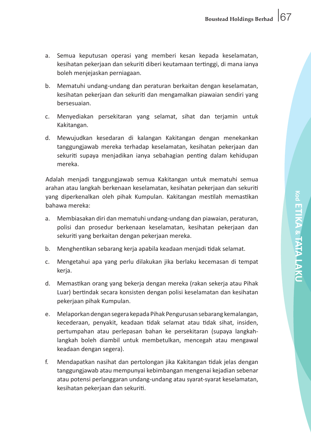- a. Semua keputusan operasi yang memberi kesan kepada keselamatan, kesihatan pekerjaan dan sekuriti diberi keutamaan tertinggi, di mana ianya boleh menjejaskan perniagaan.
- b. Mematuhi undang-undang dan peraturan berkaitan dengan keselamatan, kesihatan pekerjaan dan sekuriti dan mengamalkan piawaian sendiri yang bersesuaian.
- c. Menyediakan persekitaran yang selamat, sihat dan terjamin untuk Kakitangan.
- d. Mewujudkan kesedaran di kalangan Kakitangan dengan menekankan tanggungjawab mereka terhadap keselamatan, kesihatan pekerjaan dan sekuriti supaya menjadikan ianya sebahagian penting dalam kehidupan mereka.

 Adalah menjadi tanggungjawab semua Kakitangan untuk mematuhi semua arahan atau langkah berkenaan keselamatan, kesihatan pekerjaan dan sekuriti yang diperkenalkan oleh pihak Kumpulan. Kakitangan mestilah memastikan bahawa mereka:

- a. Membiasakan diri dan mematuhi undang-undang dan piawaian, peraturan, polisi dan prosedur berkenaan keselamatan, kesihatan pekerjaan dan sekuriti yang berkaitan dengan pekerjaan mereka.
- b. Menghentikan sebarang kerja apabila keadaan menjadi tidak selamat.
- c. Mengetahui apa yang perlu dilakukan jika berlaku kecemasan di tempat kerja.
- d. Memastikan orang yang bekerja dengan mereka (rakan sekerja atau Pihak Luar) bertindak secara konsisten dengan polisi keselamatan dan kesihatan pekerjaan pihak Kumpulan.
- e. Melaporkan dengan segera kepada Pihak Pengurusan sebarang kemalangan, kecederaan, penyakit, keadaan tidak selamat atau tidak sihat, insiden, pertumpahan atau perlepasan bahan ke persekitaran (supaya langkahlangkah boleh diambil untuk membetulkan, mencegah atau mengawal keadaan dengan segera).
- f. Mendapatkan nasihat dan pertolongan jika Kakitangan tidak jelas dengan tanggungjawab atau mempunyai kebimbangan mengenai kejadian sebenar atau potensi perlanggaran undang-undang atau syarat-syarat keselamatan, kesihatan pekerjaan dan sekuriti.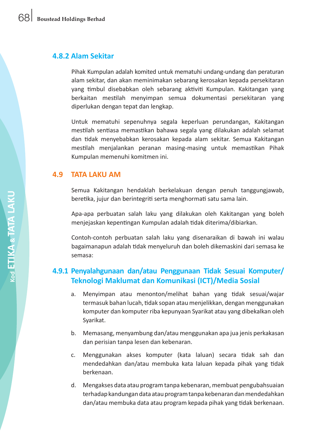#### **4.8.2 Alam Sekitar**

Pihak Kumpulan adalah komited untuk mematuhi undang-undang dan peraturan alam sekitar, dan akan meminimakan sebarang kerosakan kepada persekitaran yang timbul disebabkan oleh sebarang aktiviti Kumpulan. Kakitangan yang berkaitan mestilah menyimpan semua dokumentasi persekitaran yang diperlukan dengan tepat dan lengkap.

 Untuk mematuhi sepenuhnya segala keperluan perundangan, Kakitangan mestilah sentiasa memastikan bahawa segala yang dilakukan adalah selamat dan tidak menyebabkan kerosakan kepada alam sekitar. Semua Kakitangan mestilah menjalankan peranan masing-masing untuk memastikan Pihak Kumpulan memenuhi komitmen ini.

## **4.9 TATA LAKU AM**

Semua Kakitangan hendaklah berkelakuan dengan penuh tanggungjawab, beretika, jujur dan berintegriti serta menghormati satu sama lain.

 Apa-apa perbuatan salah laku yang dilakukan oleh Kakitangan yang boleh menjejaskan kepentingan Kumpulan adalah tidak diterima/dibiarkan.

 Contoh-contoh perbuatan salah laku yang disenaraikan di bawah ini walau bagaimanapun adalah tidak menyeluruh dan boleh dikemaskini dari semasa ke semasa:

# **4.9.1 Penyalahgunaan dan/atau Penggunaan Tidak Sesuai Komputer/ Teknologi Maklumat dan Komunikasi (ICT)/Media Sosial**

- a. Menyimpan atau menonton/melihat bahan yang tidak sesuai/wajar termasuk bahan lucah, tidak sopan ataumenjelikkan, denganmenggunakan komputer dan komputer riba kepunyaan Syarikat atau yang dibekalkan oleh Syarikat.
- b. Memasang, menyambung dan/atau menggunakan apa jua jenis perkakasan dan perisian tanpa lesen dan kebenaran.
- c. Menggunakan akses komputer (kata laluan) secara tidak sah dan mendedahkan dan/atau membuka kata laluan kepada pihak yang tidak berkenaan.
- d. Mengakses data atau program tanpa kebenaran, membuat pengubahsuaian terhadapkandungandata atauprogramtanpa kebenarandanmendedahkan dan/atau membuka data atau program kepada pihak yang tidak berkenaan.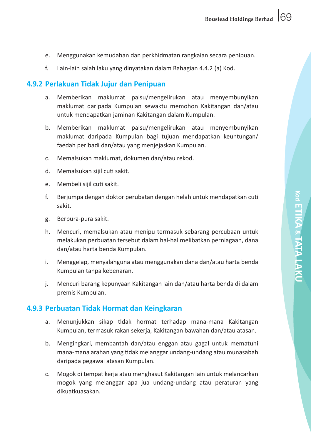- e. Menggunakan kemudahan dan perkhidmatan rangkaian secara penipuan.
- f. Lain-lain salah laku yang dinyatakan dalam Bahagian 4.4.2 (a) Kod.

### **4.9.2 Perlakuan Tidak Jujur dan Penipuan**

- a. Memberikan maklumat palsu/mengelirukan atau menyembunyikan maklumat daripada Kumpulan sewaktu memohon Kakitangan dan/atau untuk mendapatkan jaminan Kakitangan dalam Kumpulan.
- b. Memberikan maklumat palsu/mengelirukan atau menyembunyikan maklumat daripada Kumpulan bagi tujuan mendapatkan keuntungan/ faedah peribadi dan/atau yang menjejaskan Kumpulan.
- c. Memalsukan maklumat, dokumen dan/atau rekod.
- d. Memalsukan sijil cuti sakit.
- e. Membeli sijil cuti sakit.
- f. Berjumpa dengan doktor perubatan dengan helah untuk mendapatkan cuti sakit.
- g. Berpura-pura sakit.
- h. Mencuri, memalsukan atau menipu termasuk sebarang percubaan untuk melakukan perbuatan tersebut dalam hal-hal melibatkan perniagaan, dana dan/atau harta benda Kumpulan.
- i. Menggelap, menyalahguna atau menggunakan dana dan/atau harta benda Kumpulan tanpa kebenaran.
- j. Mencuri barang kepunyaan Kakitangan lain dan/atau harta benda di dalam premis Kumpulan.

#### **4.9.3 Perbuatan Tidak Hormat dan Keingkaran**

- a. Menunjukkan sikap tidak hormat terhadap mana-mana Kakitangan Kumpulan, termasuk rakan sekerja, Kakitangan bawahan dan/atau atasan.
- b. Mengingkari, membantah dan/atau enggan atau gagal untuk mematuhi mana-mana arahan yang tidak melanggar undang-undang atau munasabah daripada pegawai atasan Kumpulan.
- c. Mogok di tempat kerja atau menghasut Kakitangan lain untuk melancarkan mogok yang melanggar apa jua undang-undang atau peraturan yang dikuatkuasakan.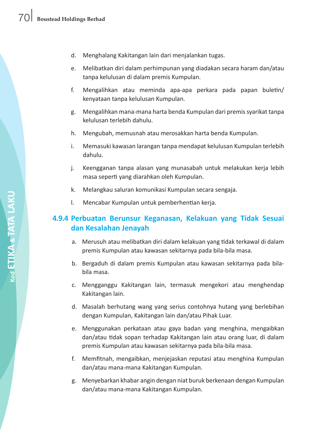- d. Menghalang Kakitangan lain dari menjalankan tugas.
- e. Melibatkan diri dalam perhimpunan yang diadakan secara haram dan/atau tanpa kelulusan di dalam premis Kumpulan.
- f. Mengalihkan atau meminda apa-apa perkara pada papan buletin/ kenyataan tanpa kelulusan Kumpulan.
- g. Mengalihkan mana-mana harta benda Kumpulan dari premis syarikat tanpa kelulusan terlebih dahulu.
- h. Mengubah, memusnah atau merosakkan harta benda Kumpulan.
- i. Memasuki kawasan larangan tanpa mendapat kelulusan Kumpulan terlebih dahulu.
- j. Keengganan tanpa alasan yang munasabah untuk melakukan keria lebih masa seperti yang diarahkan oleh Kumpulan.
- k. Melangkau saluran komunikasi Kumpulan secara sengaja.
- l. Mencabar Kumpulan untuk pemberhentian kerja.

# **4.9.4 Perbuatan Berunsur Keganasan, Kelakuan yang Tidak Sesuai dan Kesalahan Jenayah**

- a. Merusuh atau melibatkan diri dalam kelakuan yang tidak terkawal di dalam premis Kumpulan atau kawasan sekitarnya pada bila-bila masa.
- b. Bergaduh di dalam premis Kumpulan atau kawasan sekitarnya pada bilabila masa.
- c. Mengganggu Kakitangan lain, termasuk mengekori atau menghendap Kakitangan lain.
- d. Masalah berhutang wang yang serius contohnya hutang yang berlebihan dengan Kumpulan, Kakitangan lain dan/atau Pihak Luar.
- e. Menggunakan perkataan atau gaya badan yang menghina, mengaibkan dan/atau tidak sopan terhadap Kakitangan lain atau orang luar, di dalam premis Kumpulan atau kawasan sekitarnya pada bila-bila masa.
- f. Memfitnah, mengaibkan, menjejaskan reputasi atau menghina Kumpulan dan/atau mana-mana Kakitangan Kumpulan.
- g. Menyebarkan khabar angin dengan niat buruk berkenaan dengan Kumpulan dan/atau mana-mana Kakitangan Kumpulan.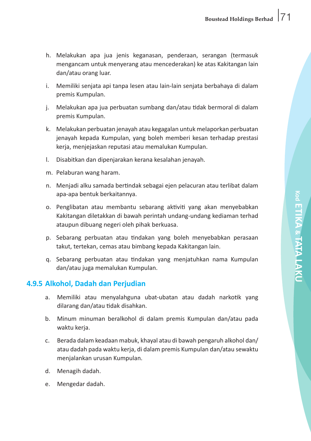**Kod**

**ETIKA**

**& TATA LAKU**

- h. Melakukan apa jua jenis keganasan, penderaan, serangan (termasuk mengancam untuk menyerang atau mencederakan) ke atas Kakitangan lain dan/atau orang luar.
- i. Memiliki senjata api tanpa lesen atau lain-lain senjata berbahaya di dalam premis Kumpulan.
- j. Melakukan apa jua perbuatan sumbang dan/atau tidak bermoral di dalam premis Kumpulan.
- k. Melakukan perbuatan jenayah atau kegagalan untuk melaporkan perbuatan jenayah kepada Kumpulan, yang boleh memberi kesan terhadap prestasi kerja, menjejaskan reputasi atau memalukan Kumpulan.
- l. Disabitkan dan dipenjarakan kerana kesalahan jenayah.
- m. Pelaburan wang haram.
- n. Menjadi alku samada bertindak sebagai ejen pelacuran atau terlibat dalam apa-apa bentuk berkaitannya.
- o. Penglibatan atau membantu sebarang aktiviti yang akan menyebabkan Kakitangan diletakkan di bawah perintah undang-undang kediaman terhad ataupun dibuang negeri oleh pihak berkuasa.
- p. Sebarang perbuatan atau tindakan yang boleh menyebabkan perasaan takut, tertekan, cemas atau bimbang kepada Kakitangan lain.
- q. Sebarang perbuatan atau tindakan yang menjatuhkan nama Kumpulan dan/atau juga memalukan Kumpulan.

# **4.9.5 Alkohol, Dadah dan Perjudian**

- a. Memiliki atau menyalahguna ubat-ubatan atau dadah narkotik yang dilarang dan/atau tidak disahkan.
- b. Minum minuman beralkohol di dalam premis Kumpulan dan/atau pada waktu kerja.
- c. Berada dalam keadaan mabuk, khayal atau di bawah pengaruh alkohol dan/ atau dadah pada waktu kerja, di dalam premis Kumpulan dan/atau sewaktu menjalankan urusan Kumpulan.
- d. Menagih dadah.
- e. Mengedar dadah.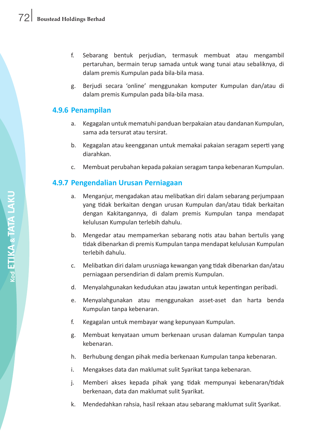- f. Sebarang bentuk perjudian, termasuk membuat atau mengambil pertaruhan, bermain terup samada untuk wang tunai atau sebaliknya, di dalam premis Kumpulan pada bila-bila masa.
- g. Berjudi secara 'online' menggunakan komputer Kumpulan dan/atau di dalam premis Kumpulan pada bila-bila masa.

# **4.9.6 Penampilan**

- a. Kegagalan untuk mematuhi panduan berpakaian atau dandanan Kumpulan, sama ada tersurat atau tersirat.
- b. Kegagalan atau keengganan untuk memakai pakaian seragam seperti yang diarahkan.
- c. Membuat perubahan kepada pakaian seragam tanpa kebenaran Kumpulan.

# **4.9.7 Pengendalian Urusan Perniagaan**

- a. Menganjur, mengadakan atau melibatkan diri dalam sebarang perjumpaan yang tidak berkaitan dengan urusan Kumpulan dan/atau tidak berkaitan dengan Kakitangannya, di dalam premis Kumpulan tanpa mendapat kelulusan Kumpulan terlebih dahulu.
- b. Mengedar atau mempamerkan sebarang notis atau bahan bertulis yang tidak dibenarkan di premis Kumpulan tanpa mendapat kelulusan Kumpulan terlebih dahulu.
- c. Melibatkan diri dalam urusniaga kewangan yang tidak dibenarkan dan/atau perniagaan persendirian di dalam premis Kumpulan.
- d. Menyalahgunakan kedudukan atau jawatan untuk kepentingan peribadi.
- e. Menyalahgunakan atau menggunakan asset-aset dan harta benda Kumpulan tanpa kebenaran.
- f. Kegagalan untuk membayar wang kepunyaan Kumpulan.
- g. Membuat kenyataan umum berkenaan urusan dalaman Kumpulan tanpa kebenaran.
- h. Berhubung dengan pihak media berkenaan Kumpulan tanpa kebenaran.
- i. Mengakses data dan maklumat sulit Syarikat tanpa kebenaran.
- j. Memberi akses kepada pihak yang tidak mempunyai kebenaran/tidak berkenaan, data dan maklumat sulit Syarikat.
- k. Mendedahkan rahsia, hasil rekaan atau sebarang maklumat sulit Syarikat.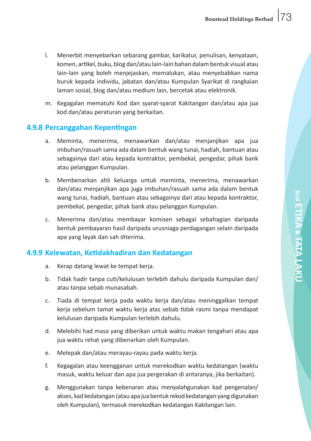- l. Menerbit menyebarkan sebarang gambar, karikatur, penulisan, kenyataan, komen, artikel, buku, blog dan/atau lain-lain bahan dalambentuk visual atau lain-lain yang boleh menjejaskan, memalukan, atau menyebabkan nama buruk kepada individu, jabatan dan/atau Kumpulan Syarikat di rangkaian laman sosial, blog dan/atau medium lain, bercetak atau elektronik.
- m. Kegagalan mematuhi Kod dan syarat-syarat Kakitangan dan/atau apa jua kod dan/atau peraturan yang berkaitan.

### **4.9.8 Percanggahan Kepentingan**

- a. Meminta, menerima, menawarkan dan/atau menjanjikan apa jua imbuhan/rasuah sama ada dalam bentuk wang tunai, hadiah, bantuan atau sebagainya dari atau kepada kontraktor, pembekal, pengedar, pihak bank atau pelanggan Kumpulan.
- b. Membenarkan ahli keluarga untuk meminta, menerima, menawarkan dan/atau menjanjikan apa juga imbuhan/rasuah sama ada dalam bentuk wang tunai, hadiah, bantuan atau sebagainya dari atau kepada kontraktor, pembekal, pengedar, pihak bank atau pelanggan Kumpulan.
- c. Menerima dan/atau membayar komisen sebagai sebahagian daripada bentuk pembayaran hasil daripada urusniaga perdagangan selain daripada apa yang layak dan sah diterima.

## **4.9.9 Kelewatan, Ketidakhadiran dan Kedatangan**

- a. Kerap datang lewat ke tempat kerja.
- b. Tidak hadir tanpa cuti/kelulusan terlebih dahulu daripada Kumpulan dan/ atau tanpa sebab munasabah.
- c. Tiada di tempat kerja pada waktu kerja dan/atau meninggalkan tempat kerja sebelum tamat waktu kerja atas sebab tidak rasmi tanpa mendapat kelulusan daripada Kumpulan terlebih dahulu.
- d. Melebihi had masa yang diberikan untuk waktu makan tengahari atau apa jua waktu rehat yang dibenarkan oleh Kumpulan.
- e. Melepak dan/atau merayau-rayau pada waktu kerja.
- f. Kegagalan atau keengganan untuk merekodkan waktu kedatangan (waktu masuk, waktu keluar dan apa jua pergerakan di antaranya, jika berkaitan).
- g. Menggunakan tanpa kebenaran atau menyalahgunakan kad pengenalan/ akses, kad kedatangan (atau apa jua bentuk rekod kedatangan yang digunakan oleh Kumpulan), termasuk merekodkan kedatangan Kakitangan lain.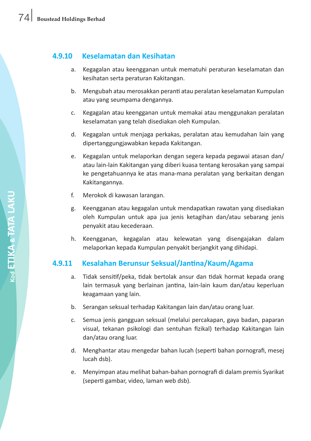## **4.9.10 Keselamatan dan Kesihatan**

- a. Kegagalan atau keengganan untuk mematuhi peraturan keselamatan dan kesihatan serta peraturan Kakitangan.
- b. Mengubah atau merosakkan peranti atau peralatan keselamatan Kumpulan atau yang seumpama dengannya.
- c. Kegagalan atau keengganan untuk memakai atau menggunakan peralatan keselamatan yang telah disediakan oleh Kumpulan.
- d. Kegagalan untuk menjaga perkakas, peralatan atau kemudahan lain yang dipertanggungjawabkan kepada Kakitangan.
- e. Kegagalan untuk melaporkan dengan segera kepada pegawai atasan dan/ atau lain-lain Kakitangan yang diberi kuasa tentang kerosakan yang sampai ke pengetahuannya ke atas mana-mana peralatan yang berkaitan dengan Kakitangannya.
- f. Merokok di kawasan larangan.
- g. Keengganan atau kegagalan untuk mendapatkan rawatan yang disediakan oleh Kumpulan untuk apa jua jenis ketagihan dan/atau sebarang jenis penyakit atau kecederaan.
- h. Keengganan, kegagalan atau kelewatan yang disengajakan dalam melaporkan kepada Kumpulan penyakit berjangkit yang dihidapi.

## **4.9.11 Kesalahan Berunsur Seksual/Jantina/Kaum/Agama**

- a. Tidak sensitif/peka, tidak bertolak ansur dan tidak hormat kepada orang lain termasuk yang berlainan jantina, lain-lain kaum dan/atau keperluan keagamaan yang lain.
- b. Serangan seksual terhadap Kakitangan lain dan/atau orang luar.
- c. Semua jenis gangguan seksual (melalui percakapan, gaya badan, paparan visual, tekanan psikologi dan sentuhan fizikal) terhadap Kakitangan lain dan/atau orang luar.
- d. Menghantar atau mengedar bahan lucah (seperti bahan pornografi, mesej lucah dsb).
- e. Menyimpan atau melihat bahan-bahan pornografi di dalam premis Syarikat (seperti gambar, video, laman web dsb).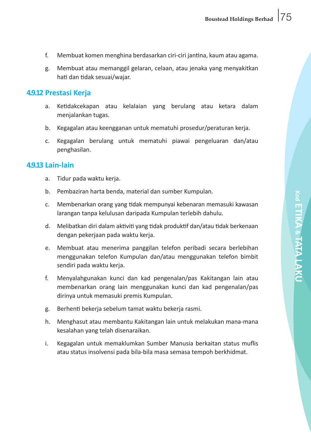- f. Membuat komen menghina berdasarkan ciri-ciri jantina, kaum atau agama.
- g. Membuat atau memanggil gelaran, celaan, atau jenaka yang menyakitkan hati dan tidak sesuai/wajar.

### **4.9.12 Prestasi Kerja**

- a. Ketidakcekapan atau kelalaian yang berulang atau ketara dalam menjalankan tugas.
- b. Kegagalan atau keengganan untuk mematuhi prosedur/peraturan kerja.
- c. Kegagalan berulang untuk mematuhi piawai pengeluaran dan/atau penghasilan.

#### **4.9.13 Lain-lain**

- a. Tidur pada waktu kerja.
- b. Pembaziran harta benda, material dan sumber Kumpulan.
- c. Membenarkan orang yang tidak mempunyai kebenaran memasuki kawasan larangan tanpa kelulusan daripada Kumpulan terlebih dahulu.
- d. Melibatkan diri dalam aktiviti yang tidak produktif dan/atau tidak berkenaan dengan pekerjaan pada waktu kerja.
- e. Membuat atau menerima panggilan telefon peribadi secara berlebihan menggunakan telefon Kumpulan dan/atau menggunakan telefon bimbit sendiri pada waktu kerja.
- f. Menyalahgunakan kunci dan kad pengenalan/pas Kakitangan lain atau membenarkan orang lain menggunakan kunci dan kad pengenalan/pas dirinya untuk memasuki premis Kumpulan.
- g. Berhenti bekerja sebelum tamat waktu bekerja rasmi.
- h. Menghasut atau membantu Kakitangan lain untuk melakukan mana-mana kesalahan yang telah disenaraikan.
- i. Kegagalan untuk memaklumkan Sumber Manusia berkaitan status muflis atau status insolvensi pada bila-bila masa semasa tempoh berkhidmat.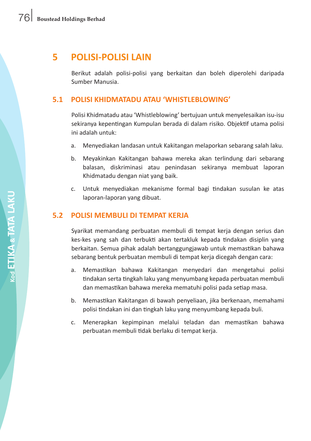# **5 POLISI-POLISI LAIN**

 Berikut adalah polisi-polisi yang berkaitan dan boleh diperolehi daripada Sumber Manusia.

### **5.1 POLISI KHIDMATADU ATAU 'WHISTLEBLOWING'**

 Polisi Khidmatadu atau 'Whistleblowing' bertujuan untuk menyelesaikan isu-isu sekiranya kepentingan Kumpulan berada di dalam risiko. Objektif utama polisi ini adalah untuk:

- a. Menyediakan landasan untuk Kakitangan melaporkan sebarang salah laku.
- b. Meyakinkan Kakitangan bahawa mereka akan terlindung dari sebarang balasan, diskriminasi atau penindasan sekiranya membuat laporan Khidmatadu dengan niat yang baik.
- c. Untuk menyediakan mekanisme formal bagi tindakan susulan ke atas laporan-laporan yang dibuat.

#### **5.2 POLISI MEMBULI DI TEMPAT KERJA**

 Syarikat memandang perbuatan membuli di tempat kerja dengan serius dan kes-kes yang sah dan terbukti akan tertakluk kepada tindakan disiplin yang berkaitan. Semua pihak adalah bertanggungjawab untuk memastikan bahawa sebarang bentuk perbuatan membuli di tempat kerja dicegah dengan cara:

- a. Memastikan bahawa Kakitangan menyedari dan mengetahui polisi tindakan serta tingkah laku yang menyumbang kepada perbuatan membuli dan memastikan bahawa mereka mematuhi polisi pada setiap masa.
- b. Memastikan Kakitangan di bawah penyeliaan, jika berkenaan, memahami polisi tindakan ini dan tingkah laku yang menyumbang kepada buli.
- c. Menerapkan kepimpinan melalui teladan dan memastikan bahawa perbuatan membuli tidak berlaku di tempat kerja.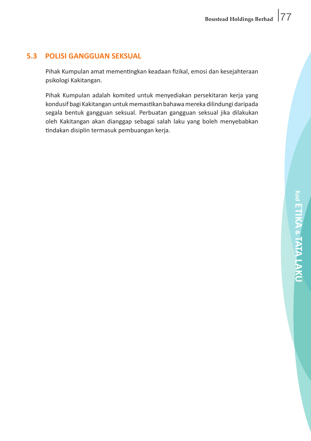### **5.3 POLISI GANGGUAN SEKSUAL**

 Pihak Kumpulan amat mementingkan keadaan fizikal, emosi dan kesejahteraan psikologi Kakitangan.

 Pihak Kumpulan adalah komited untuk menyediakan persekitaran kerja yang kondusif bagi Kakitangan untukmemastikan bahawamereka dilindungi daripada segala bentuk gangguan seksual. Perbuatan gangguan seksual jika dilakukan oleh Kakitangan akan dianggap sebagai salah laku yang boleh menyebabkan tindakan disiplin termasuk pembuangan kerja.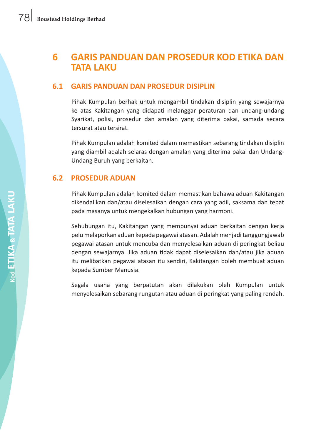# **6 GARIS PANDUAN DAN PROSEDUR KOD ETIKA DAN TATA LAKU**

### **6.1 GARIS PANDUAN DAN PROSEDUR DISIPLIN**

 Pihak Kumpulan berhak untuk mengambil tindakan disiplin yang sewajarnya ke atas Kakitangan yang didapati melanggar peraturan dan undang-undang Syarikat, polisi, prosedur dan amalan yang diterima pakai, samada secara tersurat atau tersirat.

 Pihak Kumpulan adalah komited dalam memastikan sebarang tindakan disiplin yang diambil adalah selaras dengan amalan yang diterima pakai dan Undang-Undang Buruh yang berkaitan.

### **6.2 PROSEDUR ADUAN**

 Pihak Kumpulan adalah komited dalam memastikan bahawa aduan Kakitangan dikendalikan dan/atau diselesaikan dengan cara yang adil, saksama dan tepat pada masanya untuk mengekalkan hubungan yang harmoni.

 Sehubungan itu, Kakitangan yang mempunyai aduan berkaitan dengan kerja pelumelaporkan aduan kepada pegawai atasan. Adalahmenjaditanggungjawab pegawai atasan untuk mencuba dan menyelesaikan aduan di peringkat beliau dengan sewajarnya. Jika aduan tidak dapat diselesaikan dan/atau jika aduan itu melibatkan pegawai atasan itu sendiri, Kakitangan boleh membuat aduan kepada Sumber Manusia.

 Segala usaha yang berpatutan akan dilakukan oleh Kumpulan untuk menyelesaikan sebarang rungutan atau aduan di peringkat yang paling rendah.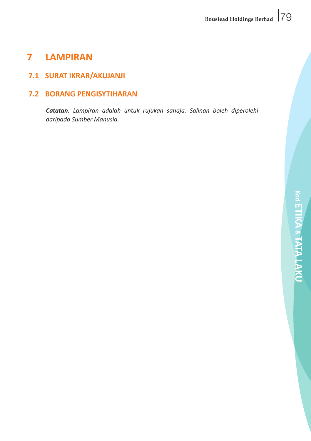# **7 LAMPIRAN**

## **7.1 SURAT IKRAR/AKUJANJI**

## **7.2 BORANG PENGISYTIHARAN**

*Catatan: Lampiran adalah untuk rujukan sahaja. Salinan boleh diperolehi daripada Sumber Manusia.*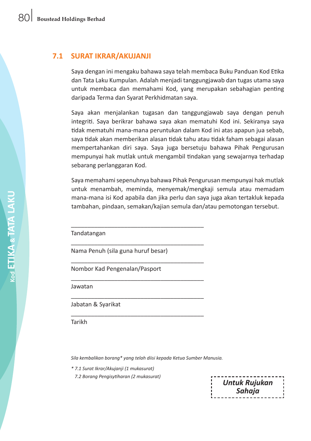#### **7.1 SURAT IKRAR/AKUJANJI**

 Saya dengan ini mengaku bahawa saya telah membaca Buku Panduan Kod Etika dan Tata Laku Kumpulan. Adalah menjadi tanggungjawab dan tugas utama saya untuk membaca dan memahami Kod, yang merupakan sebahagian penting daripada Terma dan Syarat Perkhidmatan saya.

 Saya akan menjalankan tugasan dan tanggungjawab saya dengan penuh integriti. Saya berikrar bahawa saya akan mematuhi Kod ini. Sekiranya saya tidak mematuhi mana-mana peruntukan dalam Kod ini atas apapun jua sebab, saya tidak akan memberikan alasan tidak tahu atau tidak faham sebagai alasan mempertahankan diri saya. Saya juga bersetuju bahawa Pihak Pengurusan mempunyai hak mutlak untuk mengambil tindakan yang sewajarnya terhadap sebarang perlanggaran Kod.

 Saya memahamisepenuhnya bahawa Pihak Pengurusan mempunyai hak mutlak untuk menambah, meminda, menyemak/mengkaji semula atau memadam mana-mana isi Kod apabila dan jika perlu dan saya juga akan tertakluk kepada tambahan, pindaan, semakan/kajian semula dan/atau pemotongan tersebut.

 Tandatangan

 Nama Penuh (sila guna huruf besar)

\_\_\_\_\_\_\_\_\_\_\_\_\_\_\_\_\_\_\_\_\_\_\_\_\_\_\_\_\_\_\_\_\_\_\_\_\_\_\_\_

\_\_\_\_\_\_\_\_\_\_\_\_\_\_\_\_\_\_\_\_\_\_\_\_\_\_\_\_\_\_\_\_\_\_\_\_\_\_\_\_

\_\_\_\_\_\_\_\_\_\_\_\_\_\_\_\_\_\_\_\_\_\_\_\_\_\_\_\_\_\_\_\_\_\_\_\_\_\_\_\_

\_\_\_\_\_\_\_\_\_\_\_\_\_\_\_\_\_\_\_\_\_\_\_\_\_\_\_\_\_\_\_\_\_\_\_\_\_\_\_\_

\_\_\_\_\_\_\_\_\_\_\_\_\_\_\_\_\_\_\_\_\_\_\_\_\_\_\_\_\_\_\_\_\_\_\_\_\_\_\_\_

\_\_\_\_\_\_\_\_\_\_\_\_\_\_\_\_\_\_\_\_\_\_\_\_\_\_\_\_\_\_\_\_\_\_\_\_\_\_\_\_

 Nombor Kad Pengenalan/Pasport

 Jawatan

 Jabatan & Syarikat

 Tarikh

*Sila kembalikan borang\* yang telah diisi kepada Ketua Sumber Manusia.*

 *\* 7.1 Surat Ikrar/Akujanji (1 mukasurat)*

 *7.2 Borang Pengisytiharan (2 mukasurat)*

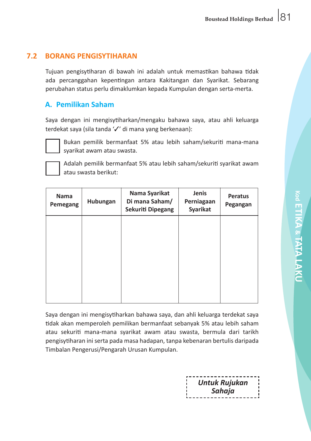## **7.2 BORANG PENGISYTIHARAN**

 Tujuan pengisytiharan di bawah ini adalah untuk memastikan bahawa tidak ada percanggahan kepentingan antara Kakitangan dan Syarikat. Sebarang perubahan status perlu dimaklumkan kepada Kumpulan dengan serta-merta.

### **A. Pemilikan Saham**

 Saya dengan ini mengisytiharkan/mengaku bahawa saya, atau ahli keluarga terdekat saya (sila tanda '/' di mana yang berkenaan):



 Bukan pemilik bermanfaat 5% atau lebih saham/sekuriti mana-mana syarikat awam atau swasta.



 Adalah pemilik bermanfaat 5% atau lebih saham/sekuriti syarikat awam atau swasta berikut:

| Nama<br>Pemegang | Hubungan | Nama Syarikat<br>Di mana Saham/<br>Sekuriti Dipegang | Jenis<br>Perniagaan<br>Syarikat | Peratus<br>Pegangan |
|------------------|----------|------------------------------------------------------|---------------------------------|---------------------|
|                  |          |                                                      |                                 |                     |
|                  |          |                                                      |                                 |                     |
|                  |          |                                                      |                                 |                     |
|                  |          |                                                      |                                 |                     |

 Saya dengan ini mengisytiharkan bahawa saya, dan ahli keluarga terdekat saya tidak akan memperoleh pemilikan bermanfaat sebanyak 5% atau lebih saham atau sekuriti mana-mana syarikat awam atau swasta, bermula dari tarikh pengisytiharan iniserta pada masa hadapan, tanpa kebenaran bertulis daripada Timbalan Pengerusi/Pengarah Urusan Kumpulan.

| <b>Untuk Rujukan</b> |  |
|----------------------|--|
|                      |  |
| Sahaja               |  |
|                      |  |
| ------------------   |  |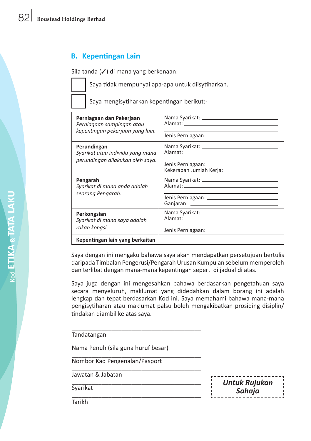## **B. Kepentingan Lain**

Sila tanda ( $\checkmark$ ) di mana yang berkenaan:

 Saya tidak mempunyai apa-apa untuk diisytiharkan.

 Saya mengisytiharkan kepentingan berikut:-

| Perniagaan dan Pekerjaan<br>Perniagaan sampingan atau<br>kepentingan pekerjaan yang lain. |                                                |
|-------------------------------------------------------------------------------------------|------------------------------------------------|
| Perundingan<br>Syarikat atau individu yang mana<br>perundingan dilakukan oleh saya.       |                                                |
|                                                                                           | Kekerapan Jumlah Kerja: ______________________ |
| Pengarah<br>Syarikat di mana anda adalah                                                  |                                                |
| seorang Pengarah.                                                                         |                                                |
| Perkongsian<br>Syarikat di mana saya adalah                                               |                                                |
| rakan kongsi.                                                                             |                                                |
| Kepentingan lain yang berkaitan                                                           |                                                |

 Saya dengan ini mengaku bahawa saya akan mendapatkan persetujuan bertulis daripada Timbalan Pengerusi/Pengarah Urusan Kumpulan sebelum memperoleh dan terlibat dengan mana-mana kepentingan seperti di jadual di atas.

 Saya juga dengan ini mengesahkan bahawa berdasarkan pengetahuan saya secara menyeluruh, maklumat yang didedahkan dalam borang ini adalah lengkap dan tepat berdasarkan Kod ini. Saya memahami bahawa mana-mana pengisytiharan atau maklumat palsu boleh mengakibatkan prosiding disiplin/ tindakan diambil ke atas saya.

\_\_\_\_\_\_\_\_\_\_\_\_\_\_\_\_\_\_\_\_\_\_\_\_\_\_\_\_\_\_\_\_\_\_\_\_\_\_\_ Tandatangan

\_\_\_\_\_\_\_\_\_\_\_\_\_\_\_\_\_\_\_\_\_\_\_\_\_\_\_\_\_\_\_\_\_\_\_\_\_\_\_ Nama Penuh (sila guna huruf besar)

\_\_\_\_\_\_\_\_\_\_\_\_\_\_\_\_\_\_\_\_\_\_\_\_\_\_\_\_\_\_\_\_\_\_\_\_\_\_\_ Nombor Kad Pengenalan/Pasport \_\_\_\_\_\_\_\_\_\_\_\_\_\_\_\_\_\_\_\_\_\_\_\_\_\_\_\_\_\_\_\_\_\_\_\_\_\_\_

Jawatan & Jabatan \_\_\_\_\_\_\_\_\_\_\_\_\_\_\_\_\_\_\_\_\_\_\_\_\_\_\_\_\_\_\_\_\_\_\_\_\_\_\_

**Syarikat** \_\_\_\_\_\_\_\_\_\_\_\_\_\_\_\_\_\_\_\_\_\_\_\_\_\_\_\_\_\_\_\_\_\_\_\_\_\_\_ *Untuk Rujukan Sahaja*

**Tarikh**